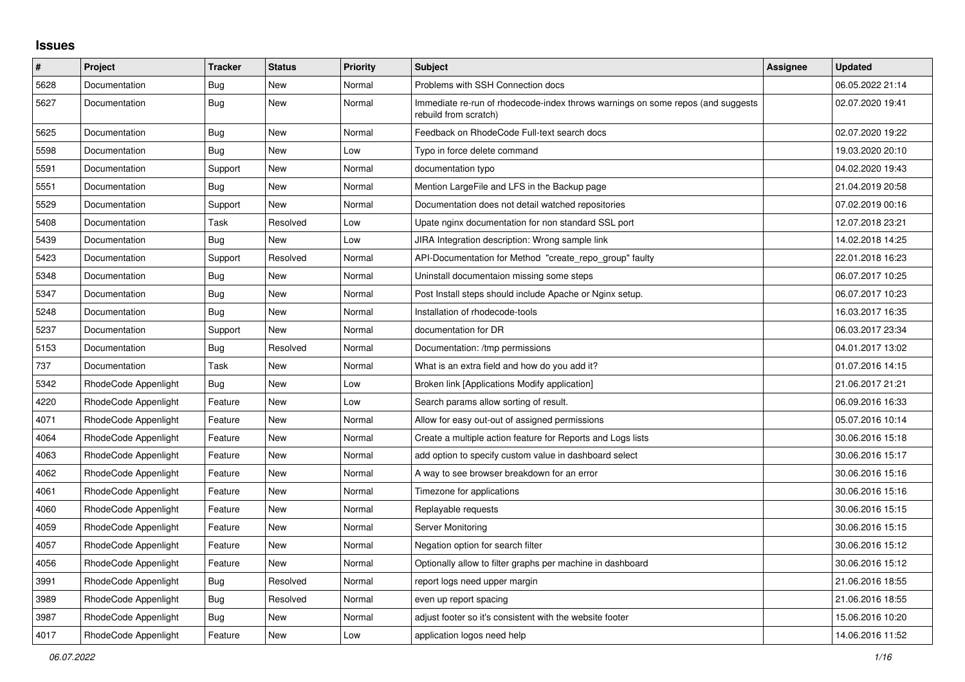## **Issues**

| $\sharp$ | <b>Project</b>       | <b>Tracker</b> | <b>Status</b> | <b>Priority</b> | <b>Subject</b>                                                                                           | Assignee | <b>Updated</b>   |
|----------|----------------------|----------------|---------------|-----------------|----------------------------------------------------------------------------------------------------------|----------|------------------|
| 5628     | Documentation        | Bug            | <b>New</b>    | Normal          | Problems with SSH Connection docs                                                                        |          | 06.05.2022 21:14 |
| 5627     | Documentation        | Bug            | <b>New</b>    | Normal          | Immediate re-run of rhodecode-index throws warnings on some repos (and suggests<br>rebuild from scratch) |          | 02.07.2020 19:41 |
| 5625     | Documentation        | <b>Bug</b>     | New           | Normal          | Feedback on RhodeCode Full-text search docs                                                              |          | 02.07.2020 19:22 |
| 5598     | Documentation        | Bug            | New           | Low             | Typo in force delete command                                                                             |          | 19.03.2020 20:10 |
| 5591     | Documentation        | Support        | New           | Normal          | documentation typo                                                                                       |          | 04.02.2020 19:43 |
| 5551     | Documentation        | Bug            | <b>New</b>    | Normal          | Mention LargeFile and LFS in the Backup page                                                             |          | 21.04.2019 20:58 |
| 5529     | Documentation        | Support        | New           | Normal          | Documentation does not detail watched repositories                                                       |          | 07.02.2019 00:16 |
| 5408     | Documentation        | Task           | Resolved      | Low             | Upate nginx documentation for non standard SSL port                                                      |          | 12.07.2018 23:21 |
| 5439     | Documentation        | Bug            | <b>New</b>    | Low             | JIRA Integration description: Wrong sample link                                                          |          | 14.02.2018 14:25 |
| 5423     | Documentation        | Support        | Resolved      | Normal          | API-Documentation for Method "create_repo_group" faulty                                                  |          | 22.01.2018 16:23 |
| 5348     | Documentation        | Bug            | New           | Normal          | Uninstall documentaion missing some steps                                                                |          | 06.07.2017 10:25 |
| 5347     | Documentation        | Bug            | New           | Normal          | Post Install steps should include Apache or Nginx setup.                                                 |          | 06.07.2017 10:23 |
| 5248     | Documentation        | <b>Bug</b>     | New           | Normal          | Installation of rhodecode-tools                                                                          |          | 16.03.2017 16:35 |
| 5237     | Documentation        | Support        | New           | Normal          | documentation for DR                                                                                     |          | 06.03.2017 23:34 |
| 5153     | Documentation        | Bug            | Resolved      | Normal          | Documentation: /tmp permissions                                                                          |          | 04.01.2017 13:02 |
| 737      | Documentation        | Task           | New           | Normal          | What is an extra field and how do you add it?                                                            |          | 01.07.2016 14:15 |
| 5342     | RhodeCode Appenlight | <b>Bug</b>     | New           | Low             | Broken link [Applications Modify application]                                                            |          | 21.06.2017 21:21 |
| 4220     | RhodeCode Appenlight | Feature        | New           | Low             | Search params allow sorting of result.                                                                   |          | 06.09.2016 16:33 |
| 4071     | RhodeCode Appenlight | Feature        | New           | Normal          | Allow for easy out-out of assigned permissions                                                           |          | 05.07.2016 10:14 |
| 4064     | RhodeCode Appenlight | Feature        | New           | Normal          | Create a multiple action feature for Reports and Logs lists                                              |          | 30.06.2016 15:18 |
| 4063     | RhodeCode Appenlight | Feature        | New           | Normal          | add option to specify custom value in dashboard select                                                   |          | 30.06.2016 15:17 |
| 4062     | RhodeCode Appenlight | Feature        | New           | Normal          | A way to see browser breakdown for an error                                                              |          | 30.06.2016 15:16 |
| 4061     | RhodeCode Appenlight | Feature        | New           | Normal          | Timezone for applications                                                                                |          | 30.06.2016 15:16 |
| 4060     | RhodeCode Appenlight | Feature        | New           | Normal          | Replayable requests                                                                                      |          | 30.06.2016 15:15 |
| 4059     | RhodeCode Appenlight | Feature        | New           | Normal          | <b>Server Monitoring</b>                                                                                 |          | 30.06.2016 15:15 |
| 4057     | RhodeCode Appenlight | Feature        | New           | Normal          | Negation option for search filter                                                                        |          | 30.06.2016 15:12 |
| 4056     | RhodeCode Appenlight | Feature        | <b>New</b>    | Normal          | Optionally allow to filter graphs per machine in dashboard                                               |          | 30.06.2016 15:12 |
| 3991     | RhodeCode Appenlight | Bug            | Resolved      | Normal          | report logs need upper margin                                                                            |          | 21.06.2016 18:55 |
| 3989     | RhodeCode Appenlight | Bug            | Resolved      | Normal          | even up report spacing                                                                                   |          | 21.06.2016 18:55 |
| 3987     | RhodeCode Appenlight | Bug            | New           | Normal          | adjust footer so it's consistent with the website footer                                                 |          | 15.06.2016 10:20 |
| 4017     | RhodeCode Appenlight | Feature        | New           | Low             | application logos need help                                                                              |          | 14.06.2016 11:52 |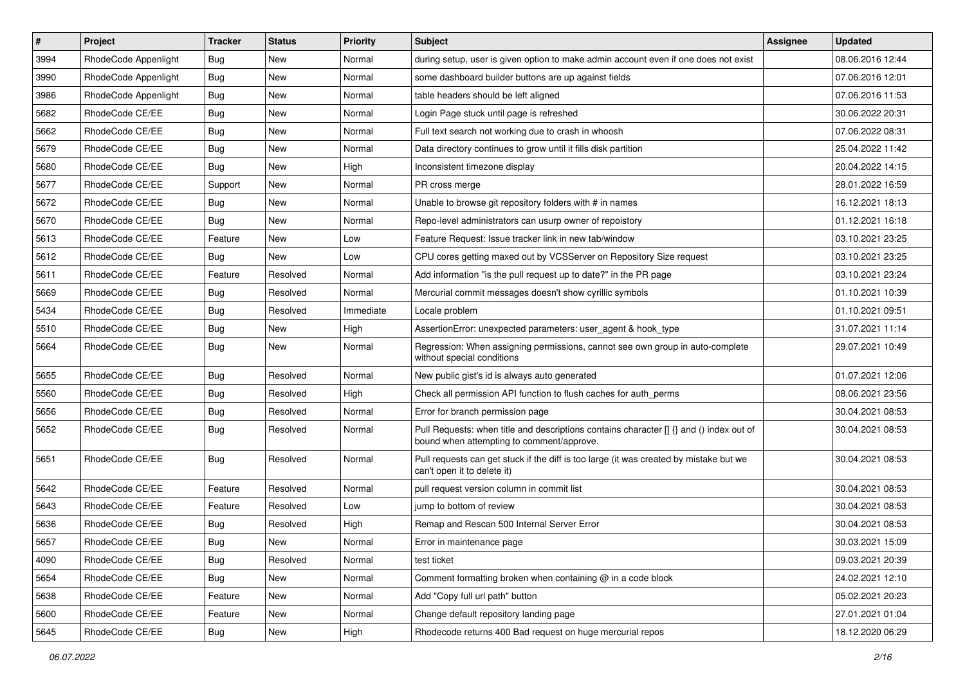| #    | Project              | <b>Tracker</b> | <b>Status</b> | <b>Priority</b> | <b>Subject</b>                                                                                                                       | <b>Assignee</b> | <b>Updated</b>   |
|------|----------------------|----------------|---------------|-----------------|--------------------------------------------------------------------------------------------------------------------------------------|-----------------|------------------|
| 3994 | RhodeCode Appenlight | <b>Bug</b>     | New           | Normal          | during setup, user is given option to make admin account even if one does not exist                                                  |                 | 08.06.2016 12:44 |
| 3990 | RhodeCode Appenlight | Bug            | New           | Normal          | some dashboard builder buttons are up against fields                                                                                 |                 | 07.06.2016 12:01 |
| 3986 | RhodeCode Appenlight | Bug            | New           | Normal          | table headers should be left aligned                                                                                                 |                 | 07.06.2016 11:53 |
| 5682 | RhodeCode CE/EE      | Bug            | New           | Normal          | Login Page stuck until page is refreshed                                                                                             |                 | 30.06.2022 20:31 |
| 5662 | RhodeCode CE/EE      | Bug            | New           | Normal          | Full text search not working due to crash in whoosh                                                                                  |                 | 07.06.2022 08:31 |
| 5679 | RhodeCode CE/EE      | Bug            | New           | Normal          | Data directory continues to grow until it fills disk partition                                                                       |                 | 25.04.2022 11:42 |
| 5680 | RhodeCode CE/EE      | Bug            | New           | High            | Inconsistent timezone display                                                                                                        |                 | 20.04.2022 14:15 |
| 5677 | RhodeCode CE/EE      | Support        | <b>New</b>    | Normal          | PR cross merge                                                                                                                       |                 | 28.01.2022 16:59 |
| 5672 | RhodeCode CE/EE      | Bug            | New           | Normal          | Unable to browse git repository folders with # in names                                                                              |                 | 16.12.2021 18:13 |
| 5670 | RhodeCode CE/EE      | Bug            | New           | Normal          | Repo-level administrators can usurp owner of repoistory                                                                              |                 | 01.12.2021 16:18 |
| 5613 | RhodeCode CE/EE      | Feature        | New           | Low             | Feature Request: Issue tracker link in new tab/window                                                                                |                 | 03.10.2021 23:25 |
| 5612 | RhodeCode CE/EE      | Bug            | New           | Low             | CPU cores getting maxed out by VCSServer on Repository Size request                                                                  |                 | 03.10.2021 23:25 |
| 5611 | RhodeCode CE/EE      | Feature        | Resolved      | Normal          | Add information "is the pull request up to date?" in the PR page                                                                     |                 | 03.10.2021 23:24 |
| 5669 | RhodeCode CE/EE      | Bug            | Resolved      | Normal          | Mercurial commit messages doesn't show cyrillic symbols                                                                              |                 | 01.10.2021 10:39 |
| 5434 | RhodeCode CE/EE      | <b>Bug</b>     | Resolved      | Immediate       | Locale problem                                                                                                                       |                 | 01.10.2021 09:51 |
| 5510 | RhodeCode CE/EE      | Bug            | New           | High            | AssertionError: unexpected parameters: user_agent & hook_type                                                                        |                 | 31.07.2021 11:14 |
| 5664 | RhodeCode CE/EE      | <b>Bug</b>     | New           | Normal          | Regression: When assigning permissions, cannot see own group in auto-complete<br>without special conditions                          |                 | 29.07.2021 10:49 |
| 5655 | RhodeCode CE/EE      | Bug            | Resolved      | Normal          | New public gist's id is always auto generated                                                                                        |                 | 01.07.2021 12:06 |
| 5560 | RhodeCode CE/EE      | Bug            | Resolved      | High            | Check all permission API function to flush caches for auth perms                                                                     |                 | 08.06.2021 23:56 |
| 5656 | RhodeCode CE/EE      | <b>Bug</b>     | Resolved      | Normal          | Error for branch permission page                                                                                                     |                 | 30.04.2021 08:53 |
| 5652 | RhodeCode CE/EE      | Bug            | Resolved      | Normal          | Pull Requests: when title and descriptions contains character [] {} and () index out of<br>bound when attempting to comment/approve. |                 | 30.04.2021 08:53 |
| 5651 | RhodeCode CE/EE      | Bug            | Resolved      | Normal          | Pull requests can get stuck if the diff is too large (it was created by mistake but we<br>can't open it to delete it)                |                 | 30.04.2021 08:53 |
| 5642 | RhodeCode CE/EE      | Feature        | Resolved      | Normal          | pull request version column in commit list                                                                                           |                 | 30.04.2021 08:53 |
| 5643 | RhodeCode CE/EE      | Feature        | Resolved      | Low             | jump to bottom of review                                                                                                             |                 | 30.04.2021 08:53 |
| 5636 | RhodeCode CE/EE      | <b>Bug</b>     | Resolved      | High            | Remap and Rescan 500 Internal Server Error                                                                                           |                 | 30.04.2021 08:53 |
| 5657 | RhodeCode CE/EE      | Bug            | New           | Normal          | Error in maintenance page                                                                                                            |                 | 30.03.2021 15:09 |
| 4090 | RhodeCode CE/EE      | Bug            | Resolved      | Normal          | test ticket                                                                                                                          |                 | 09.03.2021 20:39 |
| 5654 | RhodeCode CE/EE      | Bug            | New           | Normal          | Comment formatting broken when containing $@$ in a code block                                                                        |                 | 24.02.2021 12:10 |
| 5638 | RhodeCode CE/EE      | Feature        | New           | Normal          | Add "Copy full url path" button                                                                                                      |                 | 05.02.2021 20:23 |
| 5600 | RhodeCode CE/EE      | Feature        | New           | Normal          | Change default repository landing page                                                                                               |                 | 27.01.2021 01:04 |
| 5645 | RhodeCode CE/EE      | Bug            | New           | High            | Rhodecode returns 400 Bad request on huge mercurial repos                                                                            |                 | 18.12.2020 06:29 |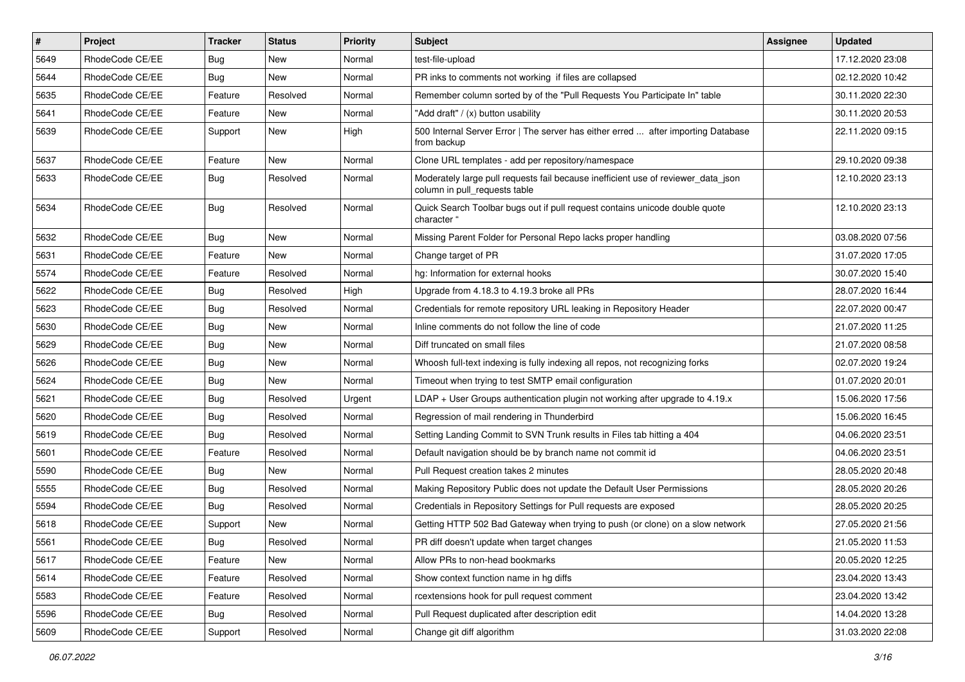| $\pmb{\#}$ | <b>Project</b>  | <b>Tracker</b> | <b>Status</b> | <b>Priority</b> | <b>Subject</b>                                                                                                     | <b>Assignee</b> | <b>Updated</b>   |
|------------|-----------------|----------------|---------------|-----------------|--------------------------------------------------------------------------------------------------------------------|-----------------|------------------|
| 5649       | RhodeCode CE/EE | Bug            | New           | Normal          | test-file-upload                                                                                                   |                 | 17.12.2020 23:08 |
| 5644       | RhodeCode CE/EE | Bug            | <b>New</b>    | Normal          | PR inks to comments not working if files are collapsed                                                             |                 | 02.12.2020 10:42 |
| 5635       | RhodeCode CE/EE | Feature        | Resolved      | Normal          | Remember column sorted by of the "Pull Requests You Participate In" table                                          |                 | 30.11.2020 22:30 |
| 5641       | RhodeCode CE/EE | Feature        | New           | Normal          | "Add draft" / (x) button usability                                                                                 |                 | 30.11.2020 20:53 |
| 5639       | RhodeCode CE/EE | Support        | New           | High            | 500 Internal Server Error   The server has either erred  after importing Database<br>from backup                   |                 | 22.11.2020 09:15 |
| 5637       | RhodeCode CE/EE | Feature        | <b>New</b>    | Normal          | Clone URL templates - add per repository/namespace                                                                 |                 | 29.10.2020 09:38 |
| 5633       | RhodeCode CE/EE | <b>Bug</b>     | Resolved      | Normal          | Moderately large pull requests fail because inefficient use of reviewer_data_json<br>column in pull requests table |                 | 12.10.2020 23:13 |
| 5634       | RhodeCode CE/EE | Bug            | Resolved      | Normal          | Quick Search Toolbar bugs out if pull request contains unicode double quote<br>character "                         |                 | 12.10.2020 23:13 |
| 5632       | RhodeCode CE/EE | Bug            | New           | Normal          | Missing Parent Folder for Personal Repo lacks proper handling                                                      |                 | 03.08.2020 07:56 |
| 5631       | RhodeCode CE/EE | Feature        | <b>New</b>    | Normal          | Change target of PR                                                                                                |                 | 31.07.2020 17:05 |
| 5574       | RhodeCode CE/EE | Feature        | Resolved      | Normal          | hg: Information for external hooks                                                                                 |                 | 30.07.2020 15:40 |
| 5622       | RhodeCode CE/EE | Bug            | Resolved      | High            | Upgrade from 4.18.3 to 4.19.3 broke all PRs                                                                        |                 | 28.07.2020 16:44 |
| 5623       | RhodeCode CE/EE | Bug            | Resolved      | Normal          | Credentials for remote repository URL leaking in Repository Header                                                 |                 | 22.07.2020 00:47 |
| 5630       | RhodeCode CE/EE | Bug            | New           | Normal          | Inline comments do not follow the line of code                                                                     |                 | 21.07.2020 11:25 |
| 5629       | RhodeCode CE/EE | Bug            | New           | Normal          | Diff truncated on small files                                                                                      |                 | 21.07.2020 08:58 |
| 5626       | RhodeCode CE/EE | Bug            | New           | Normal          | Whoosh full-text indexing is fully indexing all repos, not recognizing forks                                       |                 | 02.07.2020 19:24 |
| 5624       | RhodeCode CE/EE | <b>Bug</b>     | New           | Normal          | Timeout when trying to test SMTP email configuration                                                               |                 | 01.07.2020 20:01 |
| 5621       | RhodeCode CE/EE | Bug            | Resolved      | Urgent          | LDAP + User Groups authentication plugin not working after upgrade to 4.19.x                                       |                 | 15.06.2020 17:56 |
| 5620       | RhodeCode CE/EE | <b>Bug</b>     | Resolved      | Normal          | Regression of mail rendering in Thunderbird                                                                        |                 | 15.06.2020 16:45 |
| 5619       | RhodeCode CE/EE | <b>Bug</b>     | Resolved      | Normal          | Setting Landing Commit to SVN Trunk results in Files tab hitting a 404                                             |                 | 04.06.2020 23:51 |
| 5601       | RhodeCode CE/EE | Feature        | Resolved      | Normal          | Default navigation should be by branch name not commit id                                                          |                 | 04.06.2020 23:51 |
| 5590       | RhodeCode CE/EE | <b>Bug</b>     | New           | Normal          | Pull Request creation takes 2 minutes                                                                              |                 | 28.05.2020 20:48 |
| 5555       | RhodeCode CE/EE | Bug            | Resolved      | Normal          | Making Repository Public does not update the Default User Permissions                                              |                 | 28.05.2020 20:26 |
| 5594       | RhodeCode CE/EE | Bug            | Resolved      | Normal          | Credentials in Repository Settings for Pull requests are exposed                                                   |                 | 28.05.2020 20:25 |
| 5618       | RhodeCode CE/EE | Support        | New           | Normal          | Getting HTTP 502 Bad Gateway when trying to push (or clone) on a slow network                                      |                 | 27.05.2020 21:56 |
| 5561       | RhodeCode CE/EE | Bug            | Resolved      | Normal          | PR diff doesn't update when target changes                                                                         |                 | 21.05.2020 11:53 |
| 5617       | RhodeCode CE/EE | Feature        | New           | Normal          | Allow PRs to non-head bookmarks                                                                                    |                 | 20.05.2020 12:25 |
| 5614       | RhodeCode CE/EE | Feature        | Resolved      | Normal          | Show context function name in hg diffs                                                                             |                 | 23.04.2020 13:43 |
| 5583       | RhodeCode CE/EE | Feature        | Resolved      | Normal          | rcextensions hook for pull request comment                                                                         |                 | 23.04.2020 13:42 |
| 5596       | RhodeCode CE/EE | Bug            | Resolved      | Normal          | Pull Request duplicated after description edit                                                                     |                 | 14.04.2020 13:28 |
| 5609       | RhodeCode CE/EE | Support        | Resolved      | Normal          | Change git diff algorithm                                                                                          |                 | 31.03.2020 22:08 |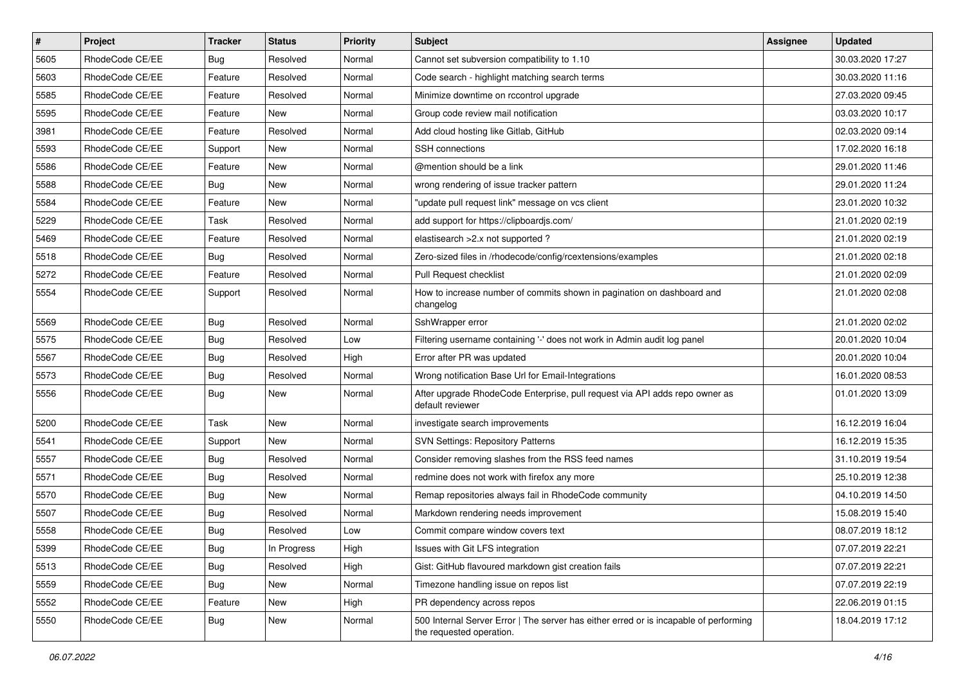| $\vert$ # | Project         | <b>Tracker</b> | <b>Status</b> | <b>Priority</b> | <b>Subject</b>                                                                                                    | <b>Assignee</b> | <b>Updated</b>   |
|-----------|-----------------|----------------|---------------|-----------------|-------------------------------------------------------------------------------------------------------------------|-----------------|------------------|
| 5605      | RhodeCode CE/EE | <b>Bug</b>     | Resolved      | Normal          | Cannot set subversion compatibility to 1.10                                                                       |                 | 30.03.2020 17:27 |
| 5603      | RhodeCode CE/EE | Feature        | Resolved      | Normal          | Code search - highlight matching search terms                                                                     |                 | 30.03.2020 11:16 |
| 5585      | RhodeCode CE/EE | Feature        | Resolved      | Normal          | Minimize downtime on rccontrol upgrade                                                                            |                 | 27.03.2020 09:45 |
| 5595      | RhodeCode CE/EE | Feature        | New           | Normal          | Group code review mail notification                                                                               |                 | 03.03.2020 10:17 |
| 3981      | RhodeCode CE/EE | Feature        | Resolved      | Normal          | Add cloud hosting like Gitlab, GitHub                                                                             |                 | 02.03.2020 09:14 |
| 5593      | RhodeCode CE/EE | Support        | New           | Normal          | <b>SSH</b> connections                                                                                            |                 | 17.02.2020 16:18 |
| 5586      | RhodeCode CE/EE | Feature        | New           | Normal          | @mention should be a link                                                                                         |                 | 29.01.2020 11:46 |
| 5588      | RhodeCode CE/EE | Bug            | New           | Normal          | wrong rendering of issue tracker pattern                                                                          |                 | 29.01.2020 11:24 |
| 5584      | RhodeCode CE/EE | Feature        | <b>New</b>    | Normal          | "update pull request link" message on vcs client                                                                  |                 | 23.01.2020 10:32 |
| 5229      | RhodeCode CE/EE | Task           | Resolved      | Normal          | add support for https://clipboardjs.com/                                                                          |                 | 21.01.2020 02:19 |
| 5469      | RhodeCode CE/EE | Feature        | Resolved      | Normal          | elastisearch > 2.x not supported?                                                                                 |                 | 21.01.2020 02:19 |
| 5518      | RhodeCode CE/EE | Bug            | Resolved      | Normal          | Zero-sized files in /rhodecode/config/rcextensions/examples                                                       |                 | 21.01.2020 02:18 |
| 5272      | RhodeCode CE/EE | Feature        | Resolved      | Normal          | Pull Request checklist                                                                                            |                 | 21.01.2020 02:09 |
| 5554      | RhodeCode CE/EE | Support        | Resolved      | Normal          | How to increase number of commits shown in pagination on dashboard and<br>changelog                               |                 | 21.01.2020 02:08 |
| 5569      | RhodeCode CE/EE | <b>Bug</b>     | Resolved      | Normal          | SshWrapper error                                                                                                  |                 | 21.01.2020 02:02 |
| 5575      | RhodeCode CE/EE | Bug            | Resolved      | Low             | Filtering username containing '-' does not work in Admin audit log panel                                          |                 | 20.01.2020 10:04 |
| 5567      | RhodeCode CE/EE | Bug            | Resolved      | High            | Error after PR was updated                                                                                        |                 | 20.01.2020 10:04 |
| 5573      | RhodeCode CE/EE | <b>Bug</b>     | Resolved      | Normal          | Wrong notification Base Url for Email-Integrations                                                                |                 | 16.01.2020 08:53 |
| 5556      | RhodeCode CE/EE | Bug            | New           | Normal          | After upgrade RhodeCode Enterprise, pull request via API adds repo owner as<br>default reviewer                   |                 | 01.01.2020 13:09 |
| 5200      | RhodeCode CE/EE | Task           | New           | Normal          | investigate search improvements                                                                                   |                 | 16.12.2019 16:04 |
| 5541      | RhodeCode CE/EE | Support        | <b>New</b>    | Normal          | SVN Settings: Repository Patterns                                                                                 |                 | 16.12.2019 15:35 |
| 5557      | RhodeCode CE/EE | Bug            | Resolved      | Normal          | Consider removing slashes from the RSS feed names                                                                 |                 | 31.10.2019 19:54 |
| 5571      | RhodeCode CE/EE | Bug            | Resolved      | Normal          | redmine does not work with firefox any more                                                                       |                 | 25.10.2019 12:38 |
| 5570      | RhodeCode CE/EE | Bug            | New           | Normal          | Remap repositories always fail in RhodeCode community                                                             |                 | 04.10.2019 14:50 |
| 5507      | RhodeCode CE/EE | <b>Bug</b>     | Resolved      | Normal          | Markdown rendering needs improvement                                                                              |                 | 15.08.2019 15:40 |
| 5558      | RhodeCode CE/EE | <b>Bug</b>     | Resolved      | Low             | Commit compare window covers text                                                                                 |                 | 08.07.2019 18:12 |
| 5399      | RhodeCode CE/EE | Bug            | In Progress   | High            | Issues with Git LFS integration                                                                                   |                 | 07.07.2019 22:21 |
| 5513      | RhodeCode CE/EE | Bug            | Resolved      | High            | Gist: GitHub flavoured markdown gist creation fails                                                               |                 | 07.07.2019 22:21 |
| 5559      | RhodeCode CE/EE | Bug            | New           | Normal          | Timezone handling issue on repos list                                                                             |                 | 07.07.2019 22:19 |
| 5552      | RhodeCode CE/EE | Feature        | New           | High            | PR dependency across repos                                                                                        |                 | 22.06.2019 01:15 |
| 5550      | RhodeCode CE/EE | Bug            | New           | Normal          | 500 Internal Server Error   The server has either erred or is incapable of performing<br>the requested operation. |                 | 18.04.2019 17:12 |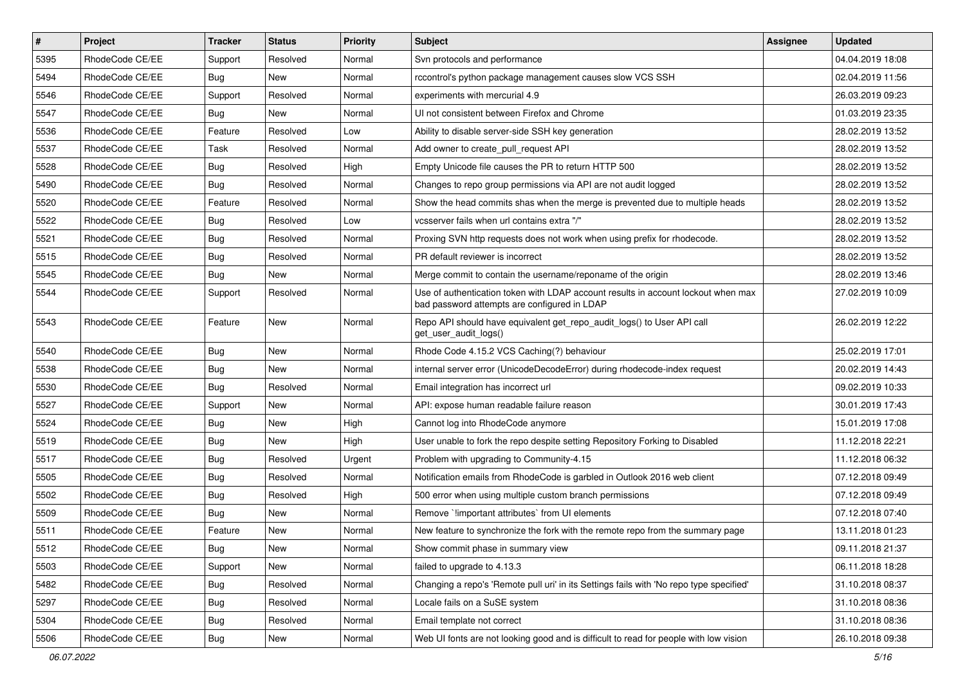| $\vert$ # | Project         | <b>Tracker</b> | <b>Status</b> | <b>Priority</b> | <b>Subject</b>                                                                                                                    | <b>Assignee</b> | <b>Updated</b>   |
|-----------|-----------------|----------------|---------------|-----------------|-----------------------------------------------------------------------------------------------------------------------------------|-----------------|------------------|
| 5395      | RhodeCode CE/EE | Support        | Resolved      | Normal          | Svn protocols and performance                                                                                                     |                 | 04.04.2019 18:08 |
| 5494      | RhodeCode CE/EE | Bug            | New           | Normal          | rccontrol's python package management causes slow VCS SSH                                                                         |                 | 02.04.2019 11:56 |
| 5546      | RhodeCode CE/EE | Support        | Resolved      | Normal          | experiments with mercurial 4.9                                                                                                    |                 | 26.03.2019 09:23 |
| 5547      | RhodeCode CE/EE | <b>Bug</b>     | New           | Normal          | UI not consistent between Firefox and Chrome                                                                                      |                 | 01.03.2019 23:35 |
| 5536      | RhodeCode CE/EE | Feature        | Resolved      | Low             | Ability to disable server-side SSH key generation                                                                                 |                 | 28.02.2019 13:52 |
| 5537      | RhodeCode CE/EE | Task           | Resolved      | Normal          | Add owner to create pull request API                                                                                              |                 | 28.02.2019 13:52 |
| 5528      | RhodeCode CE/EE | Bug            | Resolved      | High            | Empty Unicode file causes the PR to return HTTP 500                                                                               |                 | 28.02.2019 13:52 |
| 5490      | RhodeCode CE/EE | <b>Bug</b>     | Resolved      | Normal          | Changes to repo group permissions via API are not audit logged                                                                    |                 | 28.02.2019 13:52 |
| 5520      | RhodeCode CE/EE | Feature        | Resolved      | Normal          | Show the head commits shas when the merge is prevented due to multiple heads                                                      |                 | 28.02.2019 13:52 |
| 5522      | RhodeCode CE/EE | <b>Bug</b>     | Resolved      | Low             | vcsserver fails when url contains extra "/"                                                                                       |                 | 28.02.2019 13:52 |
| 5521      | RhodeCode CE/EE | <b>Bug</b>     | Resolved      | Normal          | Proxing SVN http requests does not work when using prefix for rhodecode.                                                          |                 | 28.02.2019 13:52 |
| 5515      | RhodeCode CE/EE | <b>Bug</b>     | Resolved      | Normal          | PR default reviewer is incorrect                                                                                                  |                 | 28.02.2019 13:52 |
| 5545      | RhodeCode CE/EE | Bug            | <b>New</b>    | Normal          | Merge commit to contain the username/reponame of the origin                                                                       |                 | 28.02.2019 13:46 |
| 5544      | RhodeCode CE/EE | Support        | Resolved      | Normal          | Use of authentication token with LDAP account results in account lockout when max<br>bad password attempts are configured in LDAP |                 | 27.02.2019 10:09 |
| 5543      | RhodeCode CE/EE | Feature        | New           | Normal          | Repo API should have equivalent get_repo_audit_logs() to User API call<br>get_user_audit_logs()                                   |                 | 26.02.2019 12:22 |
| 5540      | RhodeCode CE/EE | <b>Bug</b>     | New           | Normal          | Rhode Code 4.15.2 VCS Caching(?) behaviour                                                                                        |                 | 25.02.2019 17:01 |
| 5538      | RhodeCode CE/EE | <b>Bug</b>     | New           | Normal          | internal server error (UnicodeDecodeError) during rhodecode-index request                                                         |                 | 20.02.2019 14:43 |
| 5530      | RhodeCode CE/EE | Bug            | Resolved      | Normal          | Email integration has incorrect url                                                                                               |                 | 09.02.2019 10:33 |
| 5527      | RhodeCode CE/EE | Support        | New           | Normal          | API: expose human readable failure reason                                                                                         |                 | 30.01.2019 17:43 |
| 5524      | RhodeCode CE/EE | Bug            | New           | High            | Cannot log into RhodeCode anymore                                                                                                 |                 | 15.01.2019 17:08 |
| 5519      | RhodeCode CE/EE | <b>Bug</b>     | New           | High            | User unable to fork the repo despite setting Repository Forking to Disabled                                                       |                 | 11.12.2018 22:21 |
| 5517      | RhodeCode CE/EE | <b>Bug</b>     | Resolved      | Urgent          | Problem with upgrading to Community-4.15                                                                                          |                 | 11.12.2018 06:32 |
| 5505      | RhodeCode CE/EE | <b>Bug</b>     | Resolved      | Normal          | Notification emails from RhodeCode is garbled in Outlook 2016 web client                                                          |                 | 07.12.2018 09:49 |
| 5502      | RhodeCode CE/EE | Bug            | Resolved      | High            | 500 error when using multiple custom branch permissions                                                                           |                 | 07.12.2018 09:49 |
| 5509      | RhodeCode CE/EE | <b>Bug</b>     | New           | Normal          | Remove `!important attributes` from UI elements                                                                                   |                 | 07.12.2018 07:40 |
| 5511      | RhodeCode CE/EE | Feature        | New           | Normal          | New feature to synchronize the fork with the remote repo from the summary page                                                    |                 | 13.11.2018 01:23 |
| 5512      | RhodeCode CE/EE | <b>Bug</b>     | New           | Normal          | Show commit phase in summary view                                                                                                 |                 | 09.11.2018 21:37 |
| 5503      | RhodeCode CE/EE | Support        | New           | Normal          | failed to upgrade to 4.13.3                                                                                                       |                 | 06.11.2018 18:28 |
| 5482      | RhodeCode CE/EE | Bug            | Resolved      | Normal          | Changing a repo's 'Remote pull uri' in its Settings fails with 'No repo type specified'                                           |                 | 31.10.2018 08:37 |
| 5297      | RhodeCode CE/EE | <b>Bug</b>     | Resolved      | Normal          | Locale fails on a SuSE system                                                                                                     |                 | 31.10.2018 08:36 |
| 5304      | RhodeCode CE/EE | Bug            | Resolved      | Normal          | Email template not correct                                                                                                        |                 | 31.10.2018 08:36 |
| 5506      | RhodeCode CE/EE | Bug            | New           | Normal          | Web UI fonts are not looking good and is difficult to read for people with low vision                                             |                 | 26.10.2018 09:38 |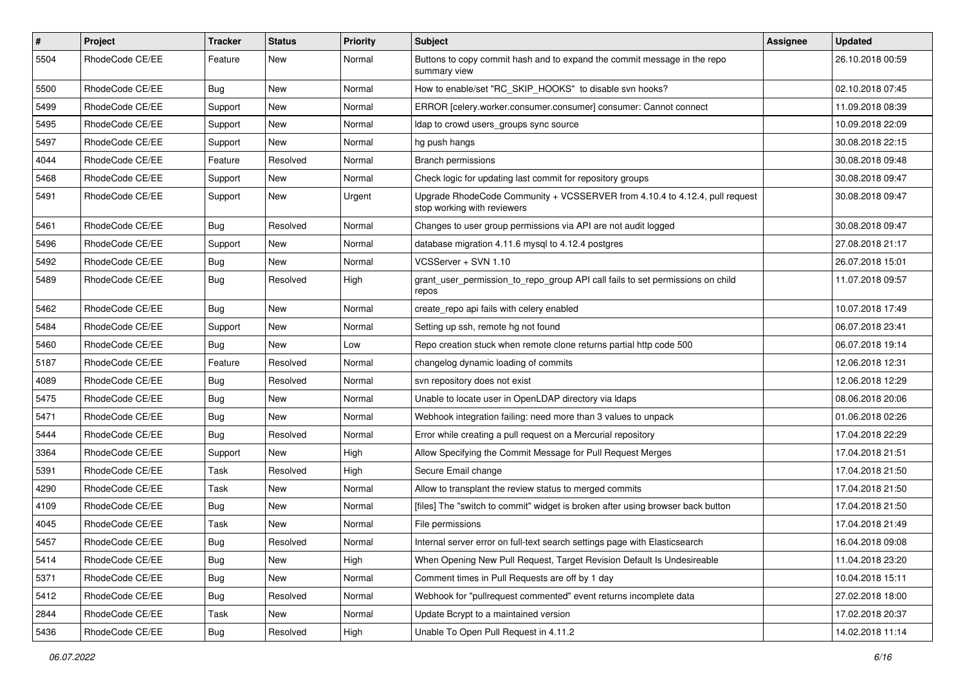| $\vert$ # | Project         | Tracker    | <b>Status</b> | <b>Priority</b> | Subject                                                                                                    | Assignee | <b>Updated</b>   |
|-----------|-----------------|------------|---------------|-----------------|------------------------------------------------------------------------------------------------------------|----------|------------------|
| 5504      | RhodeCode CE/EE | Feature    | New           | Normal          | Buttons to copy commit hash and to expand the commit message in the repo<br>summary view                   |          | 26.10.2018 00:59 |
| 5500      | RhodeCode CE/EE | Bug        | New           | Normal          | How to enable/set "RC_SKIP_HOOKS" to disable svn hooks?                                                    |          | 02.10.2018 07:45 |
| 5499      | RhodeCode CE/EE | Support    | New           | Normal          | ERROR [celery.worker.consumer.consumer] consumer: Cannot connect                                           |          | 11.09.2018 08:39 |
| 5495      | RhodeCode CE/EE | Support    | New           | Normal          | Idap to crowd users_groups sync source                                                                     |          | 10.09.2018 22:09 |
| 5497      | RhodeCode CE/EE | Support    | New           | Normal          | hg push hangs                                                                                              |          | 30.08.2018 22:15 |
| 4044      | RhodeCode CE/EE | Feature    | Resolved      | Normal          | <b>Branch permissions</b>                                                                                  |          | 30.08.2018 09:48 |
| 5468      | RhodeCode CE/EE | Support    | New           | Normal          | Check logic for updating last commit for repository groups                                                 |          | 30.08.2018 09:47 |
| 5491      | RhodeCode CE/EE | Support    | New           | Urgent          | Upgrade RhodeCode Community + VCSSERVER from 4.10.4 to 4.12.4, pull request<br>stop working with reviewers |          | 30.08.2018 09:47 |
| 5461      | RhodeCode CE/EE | Bug        | Resolved      | Normal          | Changes to user group permissions via API are not audit logged                                             |          | 30.08.2018 09:47 |
| 5496      | RhodeCode CE/EE | Support    | New           | Normal          | database migration 4.11.6 mysql to 4.12.4 postgres                                                         |          | 27.08.2018 21:17 |
| 5492      | RhodeCode CE/EE | Bug        | New           | Normal          | VCSServer + SVN 1.10                                                                                       |          | 26.07.2018 15:01 |
| 5489      | RhodeCode CE/EE | Bug        | Resolved      | High            | grant_user_permission_to_repo_group API call fails to set permissions on child<br>repos                    |          | 11.07.2018 09:57 |
| 5462      | RhodeCode CE/EE | Bug        | New           | Normal          | create repo api fails with celery enabled                                                                  |          | 10.07.2018 17:49 |
| 5484      | RhodeCode CE/EE | Support    | New           | Normal          | Setting up ssh, remote hg not found                                                                        |          | 06.07.2018 23:41 |
| 5460      | RhodeCode CE/EE | Bug        | New           | Low             | Repo creation stuck when remote clone returns partial http code 500                                        |          | 06.07.2018 19:14 |
| 5187      | RhodeCode CE/EE | Feature    | Resolved      | Normal          | changelog dynamic loading of commits                                                                       |          | 12.06.2018 12:31 |
| 4089      | RhodeCode CE/EE | <b>Bug</b> | Resolved      | Normal          | svn repository does not exist                                                                              |          | 12.06.2018 12:29 |
| 5475      | RhodeCode CE/EE | <b>Bug</b> | New           | Normal          | Unable to locate user in OpenLDAP directory via Idaps                                                      |          | 08.06.2018 20:06 |
| 5471      | RhodeCode CE/EE | <b>Bug</b> | New           | Normal          | Webhook integration failing: need more than 3 values to unpack                                             |          | 01.06.2018 02:26 |
| 5444      | RhodeCode CE/EE | <b>Bug</b> | Resolved      | Normal          | Error while creating a pull request on a Mercurial repository                                              |          | 17.04.2018 22:29 |
| 3364      | RhodeCode CE/EE | Support    | New           | High            | Allow Specifying the Commit Message for Pull Request Merges                                                |          | 17.04.2018 21:51 |
| 5391      | RhodeCode CE/EE | Task       | Resolved      | High            | Secure Email change                                                                                        |          | 17.04.2018 21:50 |
| 4290      | RhodeCode CE/EE | Task       | New           | Normal          | Allow to transplant the review status to merged commits                                                    |          | 17.04.2018 21:50 |
| 4109      | RhodeCode CE/EE | <b>Bug</b> | New           | Normal          | [files] The "switch to commit" widget is broken after using browser back button                            |          | 17.04.2018 21:50 |
| 4045      | RhodeCode CE/EE | Task       | New           | Normal          | File permissions                                                                                           |          | 17.04.2018 21:49 |
| 5457      | RhodeCode CE/EE | Bug        | Resolved      | Normal          | Internal server error on full-text search settings page with Elasticsearch                                 |          | 16.04.2018 09:08 |
| 5414      | RhodeCode CE/EE | <b>Bug</b> | New           | High            | When Opening New Pull Request, Target Revision Default Is Undesireable                                     |          | 11.04.2018 23:20 |
| 5371      | RhodeCode CE/EE | Bug        | New           | Normal          | Comment times in Pull Requests are off by 1 day                                                            |          | 10.04.2018 15:11 |
| 5412      | RhodeCode CE/EE | <b>Bug</b> | Resolved      | Normal          | Webhook for "pullrequest commented" event returns incomplete data                                          |          | 27.02.2018 18:00 |
| 2844      | RhodeCode CE/EE | Task       | New           | Normal          | Update Bcrypt to a maintained version                                                                      |          | 17.02.2018 20:37 |
| 5436      | RhodeCode CE/EE | Bug        | Resolved      | High            | Unable To Open Pull Request in 4.11.2                                                                      |          | 14.02.2018 11:14 |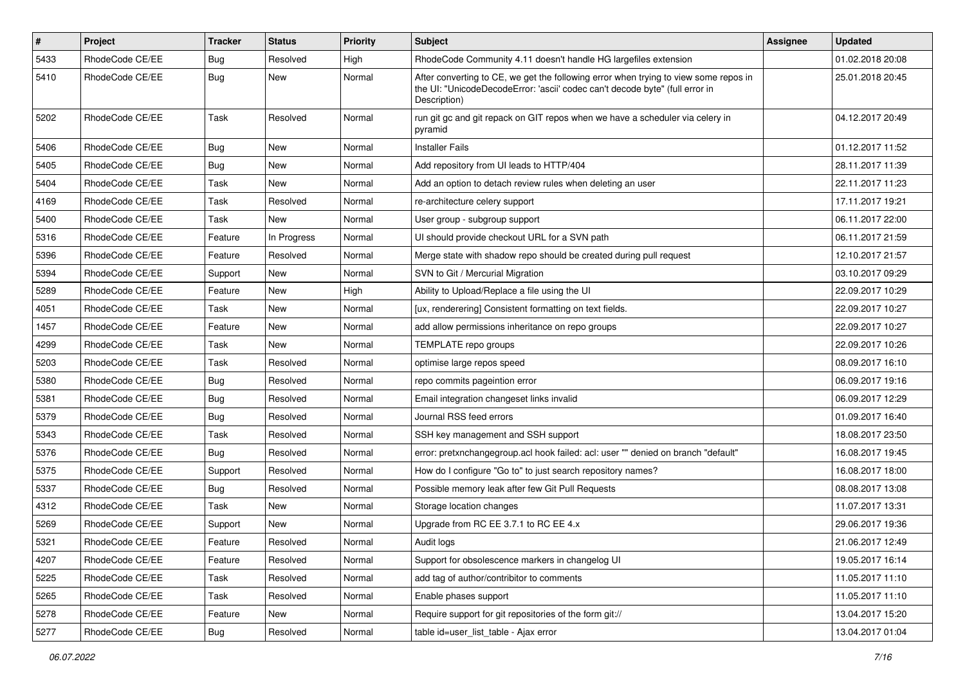| $\vert$ # | <b>Project</b>  | <b>Tracker</b> | <b>Status</b> | <b>Priority</b> | <b>Subject</b>                                                                                                                                                                       | Assignee | <b>Updated</b>   |
|-----------|-----------------|----------------|---------------|-----------------|--------------------------------------------------------------------------------------------------------------------------------------------------------------------------------------|----------|------------------|
| 5433      | RhodeCode CE/EE | <b>Bug</b>     | Resolved      | High            | RhodeCode Community 4.11 doesn't handle HG largefiles extension                                                                                                                      |          | 01.02.2018 20:08 |
| 5410      | RhodeCode CE/EE | <b>Bug</b>     | New           | Normal          | After converting to CE, we get the following error when trying to view some repos in<br>the UI: "UnicodeDecodeError: 'ascii' codec can't decode byte" (full error in<br>Description) |          | 25.01.2018 20:45 |
| 5202      | RhodeCode CE/EE | Task           | Resolved      | Normal          | run git gc and git repack on GIT repos when we have a scheduler via celery in<br>pyramid                                                                                             |          | 04.12.2017 20:49 |
| 5406      | RhodeCode CE/EE | Bug            | <b>New</b>    | Normal          | <b>Installer Fails</b>                                                                                                                                                               |          | 01.12.2017 11:52 |
| 5405      | RhodeCode CE/EE | Bug            | <b>New</b>    | Normal          | Add repository from UI leads to HTTP/404                                                                                                                                             |          | 28.11.2017 11:39 |
| 5404      | RhodeCode CE/EE | Task           | <b>New</b>    | Normal          | Add an option to detach review rules when deleting an user                                                                                                                           |          | 22.11.2017 11:23 |
| 4169      | RhodeCode CE/EE | Task           | Resolved      | Normal          | re-architecture celery support                                                                                                                                                       |          | 17.11.2017 19:21 |
| 5400      | RhodeCode CE/EE | Task           | New           | Normal          | User group - subgroup support                                                                                                                                                        |          | 06.11.2017 22:00 |
| 5316      | RhodeCode CE/EE | Feature        | In Progress   | Normal          | UI should provide checkout URL for a SVN path                                                                                                                                        |          | 06.11.2017 21:59 |
| 5396      | RhodeCode CE/EE | Feature        | Resolved      | Normal          | Merge state with shadow repo should be created during pull request                                                                                                                   |          | 12.10.2017 21:57 |
| 5394      | RhodeCode CE/EE | Support        | New           | Normal          | SVN to Git / Mercurial Migration                                                                                                                                                     |          | 03.10.2017 09:29 |
| 5289      | RhodeCode CE/EE | Feature        | <b>New</b>    | High            | Ability to Upload/Replace a file using the UI                                                                                                                                        |          | 22.09.2017 10:29 |
| 4051      | RhodeCode CE/EE | Task           | New           | Normal          | [ux, renderering] Consistent formatting on text fields.                                                                                                                              |          | 22.09.2017 10:27 |
| 1457      | RhodeCode CE/EE | Feature        | <b>New</b>    | Normal          | add allow permissions inheritance on repo groups                                                                                                                                     |          | 22.09.2017 10:27 |
| 4299      | RhodeCode CE/EE | Task           | <b>New</b>    | Normal          | TEMPLATE repo groups                                                                                                                                                                 |          | 22.09.2017 10:26 |
| 5203      | RhodeCode CE/EE | Task           | Resolved      | Normal          | optimise large repos speed                                                                                                                                                           |          | 08.09.2017 16:10 |
| 5380      | RhodeCode CE/EE | Bug            | Resolved      | Normal          | repo commits pageintion error                                                                                                                                                        |          | 06.09.2017 19:16 |
| 5381      | RhodeCode CE/EE | Bug            | Resolved      | Normal          | Email integration changeset links invalid                                                                                                                                            |          | 06.09.2017 12:29 |
| 5379      | RhodeCode CE/EE | <b>Bug</b>     | Resolved      | Normal          | Journal RSS feed errors                                                                                                                                                              |          | 01.09.2017 16:40 |
| 5343      | RhodeCode CE/EE | Task           | Resolved      | Normal          | SSH key management and SSH support                                                                                                                                                   |          | 18.08.2017 23:50 |
| 5376      | RhodeCode CE/EE | <b>Bug</b>     | Resolved      | Normal          | error: pretxnchangegroup.acl hook failed: acl: user "" denied on branch "default"                                                                                                    |          | 16.08.2017 19:45 |
| 5375      | RhodeCode CE/EE | Support        | Resolved      | Normal          | How do I configure "Go to" to just search repository names?                                                                                                                          |          | 16.08.2017 18:00 |
| 5337      | RhodeCode CE/EE | <b>Bug</b>     | Resolved      | Normal          | Possible memory leak after few Git Pull Requests                                                                                                                                     |          | 08.08.2017 13:08 |
| 4312      | RhodeCode CE/EE | Task           | New           | Normal          | Storage location changes                                                                                                                                                             |          | 11.07.2017 13:31 |
| 5269      | RhodeCode CE/EE | Support        | New           | Normal          | Upgrade from RC EE 3.7.1 to RC EE 4.x                                                                                                                                                |          | 29.06.2017 19:36 |
| 5321      | RhodeCode CE/EE | Feature        | Resolved      | Normal          | Audit logs                                                                                                                                                                           |          | 21.06.2017 12:49 |
| 4207      | RhodeCode CE/EE | Feature        | Resolved      | Normal          | Support for obsolescence markers in changelog UI                                                                                                                                     |          | 19.05.2017 16:14 |
| 5225      | RhodeCode CE/EE | Task           | Resolved      | Normal          | add tag of author/contribitor to comments                                                                                                                                            |          | 11.05.2017 11:10 |
| 5265      | RhodeCode CE/EE | Task           | Resolved      | Normal          | Enable phases support                                                                                                                                                                |          | 11.05.2017 11:10 |
| 5278      | RhodeCode CE/EE | Feature        | New           | Normal          | Require support for git repositories of the form git://                                                                                                                              |          | 13.04.2017 15:20 |
| 5277      | RhodeCode CE/EE | <b>Bug</b>     | Resolved      | Normal          | table id=user list table - Ajax error                                                                                                                                                |          | 13.04.2017 01:04 |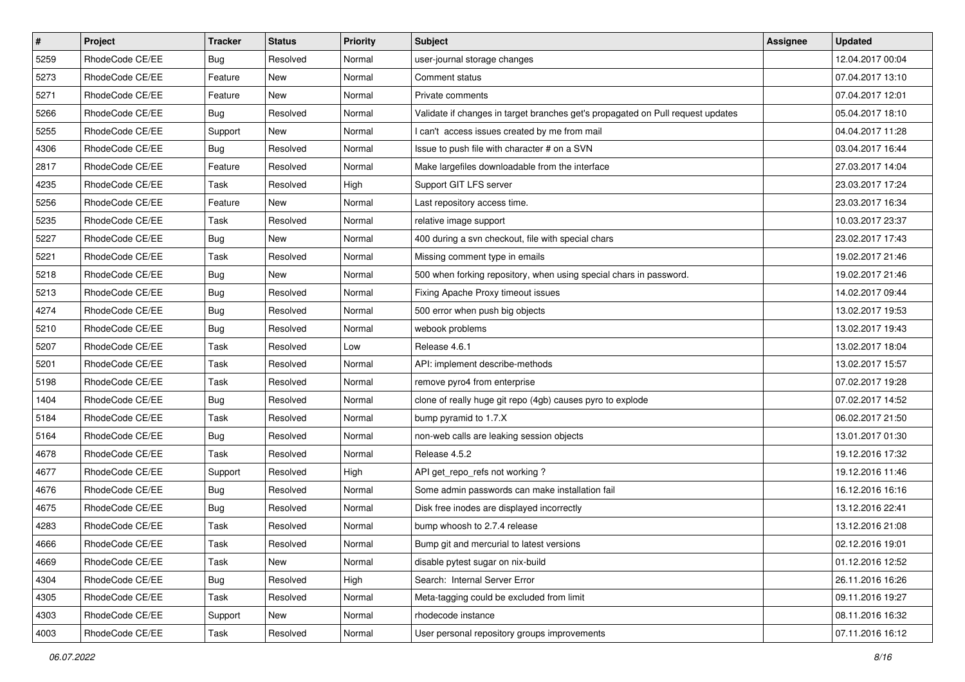| $\sharp$ | Project         | <b>Tracker</b> | <b>Status</b> | Priority | <b>Subject</b>                                                                  | <b>Assignee</b> | <b>Updated</b>   |
|----------|-----------------|----------------|---------------|----------|---------------------------------------------------------------------------------|-----------------|------------------|
| 5259     | RhodeCode CE/EE | Bug            | Resolved      | Normal   | user-journal storage changes                                                    |                 | 12.04.2017 00:04 |
| 5273     | RhodeCode CE/EE | Feature        | <b>New</b>    | Normal   | Comment status                                                                  |                 | 07.04.2017 13:10 |
| 5271     | RhodeCode CE/EE | Feature        | New           | Normal   | Private comments                                                                |                 | 07.04.2017 12:01 |
| 5266     | RhodeCode CE/EE | Bug            | Resolved      | Normal   | Validate if changes in target branches get's propagated on Pull request updates |                 | 05.04.2017 18:10 |
| 5255     | RhodeCode CE/EE | Support        | New           | Normal   | I can't access issues created by me from mail                                   |                 | 04.04.2017 11:28 |
| 4306     | RhodeCode CE/EE | Bug            | Resolved      | Normal   | Issue to push file with character # on a SVN                                    |                 | 03.04.2017 16:44 |
| 2817     | RhodeCode CE/EE | Feature        | Resolved      | Normal   | Make largefiles downloadable from the interface                                 |                 | 27.03.2017 14:04 |
| 4235     | RhodeCode CE/EE | Task           | Resolved      | High     | Support GIT LFS server                                                          |                 | 23.03.2017 17:24 |
| 5256     | RhodeCode CE/EE | Feature        | <b>New</b>    | Normal   | Last repository access time.                                                    |                 | 23.03.2017 16:34 |
| 5235     | RhodeCode CE/EE | Task           | Resolved      | Normal   | relative image support                                                          |                 | 10.03.2017 23:37 |
| 5227     | RhodeCode CE/EE | Bug            | <b>New</b>    | Normal   | 400 during a svn checkout, file with special chars                              |                 | 23.02.2017 17:43 |
| 5221     | RhodeCode CE/EE | Task           | Resolved      | Normal   | Missing comment type in emails                                                  |                 | 19.02.2017 21:46 |
| 5218     | RhodeCode CE/EE | Bug            | New           | Normal   | 500 when forking repository, when using special chars in password.              |                 | 19.02.2017 21:46 |
| 5213     | RhodeCode CE/EE | Bug            | Resolved      | Normal   | Fixing Apache Proxy timeout issues                                              |                 | 14.02.2017 09:44 |
| 4274     | RhodeCode CE/EE | <b>Bug</b>     | Resolved      | Normal   | 500 error when push big objects                                                 |                 | 13.02.2017 19:53 |
| 5210     | RhodeCode CE/EE | Bug            | Resolved      | Normal   | webook problems                                                                 |                 | 13.02.2017 19:43 |
| 5207     | RhodeCode CE/EE | Task           | Resolved      | Low      | Release 4.6.1                                                                   |                 | 13.02.2017 18:04 |
| 5201     | RhodeCode CE/EE | Task           | Resolved      | Normal   | API: implement describe-methods                                                 |                 | 13.02.2017 15:57 |
| 5198     | RhodeCode CE/EE | Task           | Resolved      | Normal   | remove pyro4 from enterprise                                                    |                 | 07.02.2017 19:28 |
| 1404     | RhodeCode CE/EE | Bug            | Resolved      | Normal   | clone of really huge git repo (4gb) causes pyro to explode                      |                 | 07.02.2017 14:52 |
| 5184     | RhodeCode CE/EE | Task           | Resolved      | Normal   | bump pyramid to 1.7.X                                                           |                 | 06.02.2017 21:50 |
| 5164     | RhodeCode CE/EE | Bug            | Resolved      | Normal   | non-web calls are leaking session objects                                       |                 | 13.01.2017 01:30 |
| 4678     | RhodeCode CE/EE | Task           | Resolved      | Normal   | Release 4.5.2                                                                   |                 | 19.12.2016 17:32 |
| 4677     | RhodeCode CE/EE | Support        | Resolved      | High     | API get_repo_refs not working?                                                  |                 | 19.12.2016 11:46 |
| 4676     | RhodeCode CE/EE | <b>Bug</b>     | Resolved      | Normal   | Some admin passwords can make installation fail                                 |                 | 16.12.2016 16:16 |
| 4675     | RhodeCode CE/EE | Bug            | Resolved      | Normal   | Disk free inodes are displayed incorrectly                                      |                 | 13.12.2016 22:41 |
| 4283     | RhodeCode CE/EE | Task           | Resolved      | Normal   | bump whoosh to 2.7.4 release                                                    |                 | 13.12.2016 21:08 |
| 4666     | RhodeCode CE/EE | Task           | Resolved      | Normal   | Bump git and mercurial to latest versions                                       |                 | 02.12.2016 19:01 |
| 4669     | RhodeCode CE/EE | Task           | New           | Normal   | disable pytest sugar on nix-build                                               |                 | 01.12.2016 12:52 |
| 4304     | RhodeCode CE/EE | <b>Bug</b>     | Resolved      | High     | Search: Internal Server Error                                                   |                 | 26.11.2016 16:26 |
| 4305     | RhodeCode CE/EE | Task           | Resolved      | Normal   | Meta-tagging could be excluded from limit                                       |                 | 09.11.2016 19:27 |
| 4303     | RhodeCode CE/EE | Support        | New           | Normal   | rhodecode instance                                                              |                 | 08.11.2016 16:32 |
| 4003     | RhodeCode CE/EE | Task           | Resolved      | Normal   | User personal repository groups improvements                                    |                 | 07.11.2016 16:12 |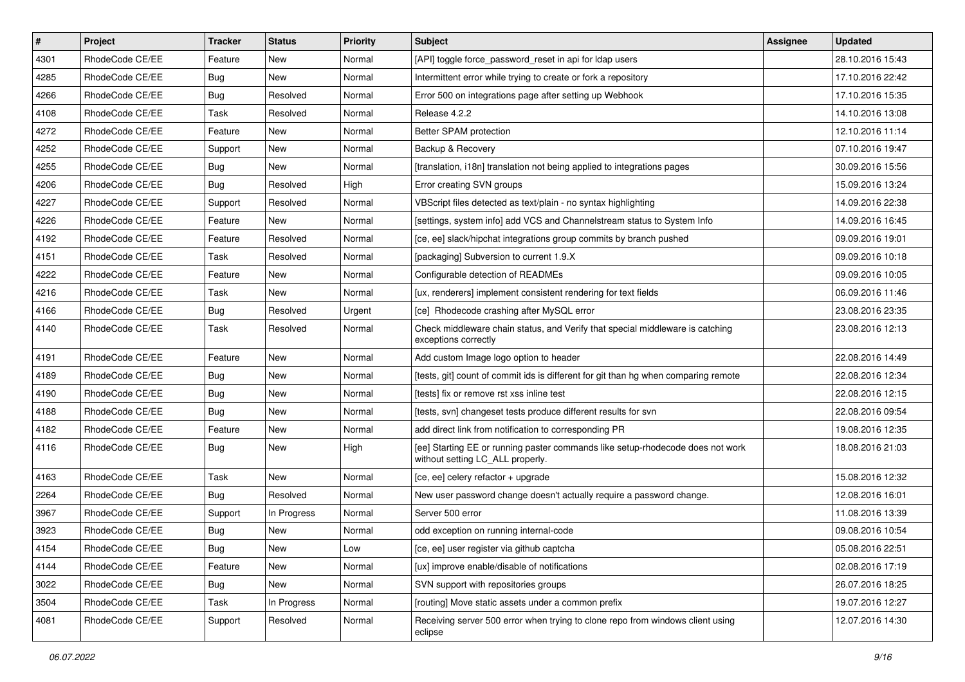| $\sharp$ | Project         | <b>Tracker</b> | <b>Status</b> | Priority | Subject                                                                                                            | <b>Assignee</b> | <b>Updated</b>   |
|----------|-----------------|----------------|---------------|----------|--------------------------------------------------------------------------------------------------------------------|-----------------|------------------|
| 4301     | RhodeCode CE/EE | Feature        | New           | Normal   | [API] toggle force password reset in api for Idap users                                                            |                 | 28.10.2016 15:43 |
| 4285     | RhodeCode CE/EE | Bug            | <b>New</b>    | Normal   | Intermittent error while trying to create or fork a repository                                                     |                 | 17.10.2016 22:42 |
| 4266     | RhodeCode CE/EE | Bug            | Resolved      | Normal   | Error 500 on integrations page after setting up Webhook                                                            |                 | 17.10.2016 15:35 |
| 4108     | RhodeCode CE/EE | Task           | Resolved      | Normal   | Release 4.2.2                                                                                                      |                 | 14.10.2016 13:08 |
| 4272     | RhodeCode CE/EE | Feature        | <b>New</b>    | Normal   | Better SPAM protection                                                                                             |                 | 12.10.2016 11:14 |
| 4252     | RhodeCode CE/EE | Support        | New           | Normal   | Backup & Recovery                                                                                                  |                 | 07.10.2016 19:47 |
| 4255     | RhodeCode CE/EE | Bug            | New           | Normal   | [translation, i18n] translation not being applied to integrations pages                                            |                 | 30.09.2016 15:56 |
| 4206     | RhodeCode CE/EE | <b>Bug</b>     | Resolved      | High     | Error creating SVN groups                                                                                          |                 | 15.09.2016 13:24 |
| 4227     | RhodeCode CE/EE | Support        | Resolved      | Normal   | VBScript files detected as text/plain - no syntax highlighting                                                     |                 | 14.09.2016 22:38 |
| 4226     | RhodeCode CE/EE | Feature        | <b>New</b>    | Normal   | [settings, system info] add VCS and Channelstream status to System Info                                            |                 | 14.09.2016 16:45 |
| 4192     | RhodeCode CE/EE | Feature        | Resolved      | Normal   | [ce, ee] slack/hipchat integrations group commits by branch pushed                                                 |                 | 09.09.2016 19:01 |
| 4151     | RhodeCode CE/EE | Task           | Resolved      | Normal   | [packaging] Subversion to current 1.9.X                                                                            |                 | 09.09.2016 10:18 |
| 4222     | RhodeCode CE/EE | Feature        | New           | Normal   | Configurable detection of READMEs                                                                                  |                 | 09.09.2016 10:05 |
| 4216     | RhodeCode CE/EE | Task           | New           | Normal   | [ux, renderers] implement consistent rendering for text fields                                                     |                 | 06.09.2016 11:46 |
| 4166     | RhodeCode CE/EE | <b>Bug</b>     | Resolved      | Urgent   | [ce] Rhodecode crashing after MySQL error                                                                          |                 | 23.08.2016 23:35 |
| 4140     | RhodeCode CE/EE | Task           | Resolved      | Normal   | Check middleware chain status, and Verify that special middleware is catching<br>exceptions correctly              |                 | 23.08.2016 12:13 |
| 4191     | RhodeCode CE/EE | Feature        | <b>New</b>    | Normal   | Add custom Image logo option to header                                                                             |                 | 22.08.2016 14:49 |
| 4189     | RhodeCode CE/EE | <b>Bug</b>     | New           | Normal   | [tests, git] count of commit ids is different for git than hg when comparing remote                                |                 | 22.08.2016 12:34 |
| 4190     | RhodeCode CE/EE | Bug            | New           | Normal   | [tests] fix or remove rst xss inline test                                                                          |                 | 22.08.2016 12:15 |
| 4188     | RhodeCode CE/EE | Bug            | <b>New</b>    | Normal   | [tests, svn] changeset tests produce different results for svn                                                     |                 | 22.08.2016 09:54 |
| 4182     | RhodeCode CE/EE | Feature        | <b>New</b>    | Normal   | add direct link from notification to corresponding PR                                                              |                 | 19.08.2016 12:35 |
| 4116     | RhodeCode CE/EE | Bug            | New           | High     | [ee] Starting EE or running paster commands like setup-rhodecode does not work<br>without setting LC_ALL properly. |                 | 18.08.2016 21:03 |
| 4163     | RhodeCode CE/EE | Task           | New           | Normal   | [ce, ee] celery refactor + upgrade                                                                                 |                 | 15.08.2016 12:32 |
| 2264     | RhodeCode CE/EE | Bug            | Resolved      | Normal   | New user password change doesn't actually require a password change.                                               |                 | 12.08.2016 16:01 |
| 3967     | RhodeCode CE/EE | Support        | In Progress   | Normal   | Server 500 error                                                                                                   |                 | 11.08.2016 13:39 |
| 3923     | RhodeCode CE/EE | <b>Bug</b>     | New           | Normal   | odd exception on running internal-code                                                                             |                 | 09.08.2016 10:54 |
| 4154     | RhodeCode CE/EE | Bug            | New           | Low      | [ce, ee] user register via github captcha                                                                          |                 | 05.08.2016 22:51 |
| 4144     | RhodeCode CE/EE | Feature        | New           | Normal   | [ux] improve enable/disable of notifications                                                                       |                 | 02.08.2016 17:19 |
| 3022     | RhodeCode CE/EE | <b>Bug</b>     | New           | Normal   | SVN support with repositories groups                                                                               |                 | 26.07.2016 18:25 |
| 3504     | RhodeCode CE/EE | Task           | In Progress   | Normal   | [routing] Move static assets under a common prefix                                                                 |                 | 19.07.2016 12:27 |
| 4081     | RhodeCode CE/EE | Support        | Resolved      | Normal   | Receiving server 500 error when trying to clone repo from windows client using<br>eclipse                          |                 | 12.07.2016 14:30 |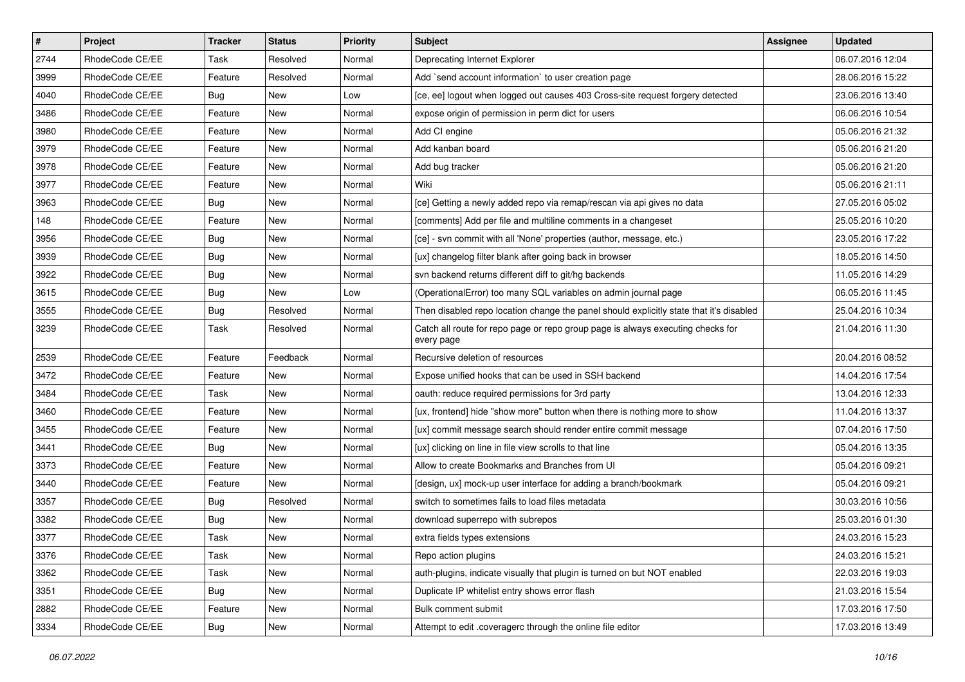| $\pmb{\#}$ | Project         | <b>Tracker</b> | <b>Status</b> | <b>Priority</b> | Subject                                                                                       | <b>Assignee</b> | <b>Updated</b>   |
|------------|-----------------|----------------|---------------|-----------------|-----------------------------------------------------------------------------------------------|-----------------|------------------|
| 2744       | RhodeCode CE/EE | Task           | Resolved      | Normal          | Deprecating Internet Explorer                                                                 |                 | 06.07.2016 12:04 |
| 3999       | RhodeCode CE/EE | Feature        | Resolved      | Normal          | Add `send account information` to user creation page                                          |                 | 28.06.2016 15:22 |
| 4040       | RhodeCode CE/EE | Bug            | New           | Low             | [ce, ee] logout when logged out causes 403 Cross-site request forgery detected                |                 | 23.06.2016 13:40 |
| 3486       | RhodeCode CE/EE | Feature        | <b>New</b>    | Normal          | expose origin of permission in perm dict for users                                            |                 | 06.06.2016 10:54 |
| 3980       | RhodeCode CE/EE | Feature        | <b>New</b>    | Normal          | Add CI engine                                                                                 |                 | 05.06.2016 21:32 |
| 3979       | RhodeCode CE/EE | Feature        | New           | Normal          | Add kanban board                                                                              |                 | 05.06.2016 21:20 |
| 3978       | RhodeCode CE/EE | Feature        | New           | Normal          | Add bug tracker                                                                               |                 | 05.06.2016 21:20 |
| 3977       | RhodeCode CE/EE | Feature        | New           | Normal          | Wiki                                                                                          |                 | 05.06.2016 21:11 |
| 3963       | RhodeCode CE/EE | Bug            | <b>New</b>    | Normal          | [ce] Getting a newly added repo via remap/rescan via api gives no data                        |                 | 27.05.2016 05:02 |
| 148        | RhodeCode CE/EE | Feature        | <b>New</b>    | Normal          | [comments] Add per file and multiline comments in a changeset                                 |                 | 25.05.2016 10:20 |
| 3956       | RhodeCode CE/EE | <b>Bug</b>     | New           | Normal          | [ce] - svn commit with all 'None' properties (author, message, etc.)                          |                 | 23.05.2016 17:22 |
| 3939       | RhodeCode CE/EE | Bug            | New           | Normal          | [ux] changelog filter blank after going back in browser                                       |                 | 18.05.2016 14:50 |
| 3922       | RhodeCode CE/EE | Bug            | <b>New</b>    | Normal          | svn backend returns different diff to git/hg backends                                         |                 | 11.05.2016 14:29 |
| 3615       | RhodeCode CE/EE | <b>Bug</b>     | <b>New</b>    | Low             | (OperationalError) too many SQL variables on admin journal page                               |                 | 06.05.2016 11:45 |
| 3555       | RhodeCode CE/EE | <b>Bug</b>     | Resolved      | Normal          | Then disabled repo location change the panel should explicitly state that it's disabled       |                 | 25.04.2016 10:34 |
| 3239       | RhodeCode CE/EE | Task           | Resolved      | Normal          | Catch all route for repo page or repo group page is always executing checks for<br>every page |                 | 21.04.2016 11:30 |
| 2539       | RhodeCode CE/EE | Feature        | Feedback      | Normal          | Recursive deletion of resources                                                               |                 | 20.04.2016 08:52 |
| 3472       | RhodeCode CE/EE | Feature        | New           | Normal          | Expose unified hooks that can be used in SSH backend                                          |                 | 14.04.2016 17:54 |
| 3484       | RhodeCode CE/EE | Task           | New           | Normal          | oauth: reduce required permissions for 3rd party                                              |                 | 13.04.2016 12:33 |
| 3460       | RhodeCode CE/EE | Feature        | <b>New</b>    | Normal          | [ux, frontend] hide "show more" button when there is nothing more to show                     |                 | 11.04.2016 13:37 |
| 3455       | RhodeCode CE/EE | Feature        | <b>New</b>    | Normal          | [ux] commit message search should render entire commit message                                |                 | 07.04.2016 17:50 |
| 3441       | RhodeCode CE/EE | Bug            | <b>New</b>    | Normal          | [ux] clicking on line in file view scrolls to that line                                       |                 | 05.04.2016 13:35 |
| 3373       | RhodeCode CE/EE | Feature        | New           | Normal          | Allow to create Bookmarks and Branches from UI                                                |                 | 05.04.2016 09:21 |
| 3440       | RhodeCode CE/EE | Feature        | New           | Normal          | [design, ux] mock-up user interface for adding a branch/bookmark                              |                 | 05.04.2016 09:21 |
| 3357       | RhodeCode CE/EE | Bug            | Resolved      | Normal          | switch to sometimes fails to load files metadata                                              |                 | 30.03.2016 10:56 |
| 3382       | RhodeCode CE/EE | <b>Bug</b>     | New           | Normal          | download superrepo with subrepos                                                              |                 | 25.03.2016 01:30 |
| 3377       | RhodeCode CE/EE | Task           | New           | Normal          | extra fields types extensions                                                                 |                 | 24.03.2016 15:23 |
| 3376       | RhodeCode CE/EE | Task           | New           | Normal          | Repo action plugins                                                                           |                 | 24.03.2016 15:21 |
| 3362       | RhodeCode CE/EE | Task           | New           | Normal          | auth-plugins, indicate visually that plugin is turned on but NOT enabled                      |                 | 22.03.2016 19:03 |
| 3351       | RhodeCode CE/EE | <b>Bug</b>     | New           | Normal          | Duplicate IP whitelist entry shows error flash                                                |                 | 21.03.2016 15:54 |
| 2882       | RhodeCode CE/EE | Feature        | New           | Normal          | Bulk comment submit                                                                           |                 | 17.03.2016 17:50 |
| 3334       | RhodeCode CE/EE | <b>Bug</b>     | New           | Normal          | Attempt to edit .coveragerc through the online file editor                                    |                 | 17.03.2016 13:49 |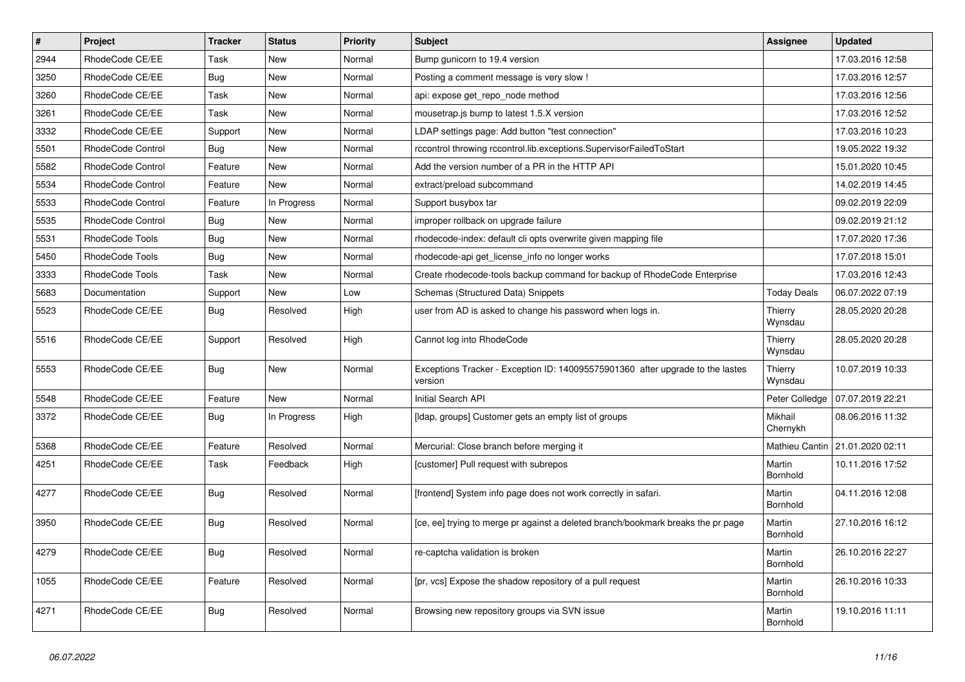| $\sharp$ | Project                  | <b>Tracker</b> | <b>Status</b> | Priority | Subject                                                                                   | <b>Assignee</b>     | <b>Updated</b>   |
|----------|--------------------------|----------------|---------------|----------|-------------------------------------------------------------------------------------------|---------------------|------------------|
| 2944     | RhodeCode CE/EE          | Task           | New           | Normal   | Bump gunicorn to 19.4 version                                                             |                     | 17.03.2016 12:58 |
| 3250     | RhodeCode CE/EE          | Bug            | <b>New</b>    | Normal   | Posting a comment message is very slow !                                                  |                     | 17.03.2016 12:57 |
| 3260     | RhodeCode CE/EE          | Task           | New           | Normal   | api: expose get repo node method                                                          |                     | 17.03.2016 12:56 |
| 3261     | RhodeCode CE/EE          | Task           | New           | Normal   | mousetrap.js bump to latest 1.5.X version                                                 |                     | 17.03.2016 12:52 |
| 3332     | RhodeCode CE/EE          | Support        | <b>New</b>    | Normal   | LDAP settings page: Add button "test connection"                                          |                     | 17.03.2016 10:23 |
| 5501     | RhodeCode Control        | Bug            | New           | Normal   | rccontrol throwing rccontrol.lib.exceptions.SupervisorFailedToStart                       |                     | 19.05.2022 19:32 |
| 5582     | RhodeCode Control        | Feature        | New           | Normal   | Add the version number of a PR in the HTTP API                                            |                     | 15.01.2020 10:45 |
| 5534     | RhodeCode Control        | Feature        | <b>New</b>    | Normal   | extract/preload subcommand                                                                |                     | 14.02.2019 14:45 |
| 5533     | <b>RhodeCode Control</b> | Feature        | In Progress   | Normal   | Support busybox tar                                                                       |                     | 09.02.2019 22:09 |
| 5535     | RhodeCode Control        | Bug            | <b>New</b>    | Normal   | improper rollback on upgrade failure                                                      |                     | 09.02.2019 21:12 |
| 5531     | RhodeCode Tools          | Bug            | New           | Normal   | rhodecode-index: default cli opts overwrite given mapping file                            |                     | 17.07.2020 17:36 |
| 5450     | RhodeCode Tools          | Bug            | New           | Normal   | rhodecode-api get license info no longer works                                            |                     | 17.07.2018 15:01 |
| 3333     | RhodeCode Tools          | Task           | <b>New</b>    | Normal   | Create rhodecode-tools backup command for backup of RhodeCode Enterprise                  |                     | 17.03.2016 12:43 |
| 5683     | Documentation            | Support        | <b>New</b>    | Low      | Schemas (Structured Data) Snippets                                                        | <b>Today Deals</b>  | 06.07.2022 07:19 |
| 5523     | RhodeCode CE/EE          | Bug            | Resolved      | High     | user from AD is asked to change his password when logs in.                                | Thierry<br>Wynsdau  | 28.05.2020 20:28 |
| 5516     | RhodeCode CE/EE          | Support        | Resolved      | High     | Cannot log into RhodeCode                                                                 | Thierry<br>Wynsdau  | 28.05.2020 20:28 |
| 5553     | RhodeCode CE/EE          | <b>Bug</b>     | <b>New</b>    | Normal   | Exceptions Tracker - Exception ID: 140095575901360 after upgrade to the lastes<br>version | Thierry<br>Wynsdau  | 10.07.2019 10:33 |
| 5548     | RhodeCode CE/EE          | Feature        | <b>New</b>    | Normal   | Initial Search API                                                                        | Peter Colledge      | 07.07.2019 22:21 |
| 3372     | RhodeCode CE/EE          | Bug            | In Progress   | High     | [Idap, groups] Customer gets an empty list of groups                                      | Mikhail<br>Chernykh | 08.06.2016 11:32 |
| 5368     | RhodeCode CE/EE          | Feature        | Resolved      | Normal   | Mercurial: Close branch before merging it                                                 | Mathieu Cantin      | 21.01.2020 02:11 |
| 4251     | RhodeCode CE/EE          | Task           | Feedback      | High     | [customer] Pull request with subrepos                                                     | Martin<br>Bornhold  | 10.11.2016 17:52 |
| 4277     | RhodeCode CE/EE          | <b>Bug</b>     | Resolved      | Normal   | [frontend] System info page does not work correctly in safari.                            | Martin<br>Bornhold  | 04.11.2016 12:08 |
| 3950     | RhodeCode CE/EE          | Bug            | Resolved      | Normal   | [ce, ee] trying to merge pr against a deleted branch/bookmark breaks the pr page          | Martin<br>Bornhold  | 27.10.2016 16:12 |
| 4279     | RhodeCode CE/EE          | <b>Bug</b>     | Resolved      | Normal   | re-captcha validation is broken                                                           | Martin<br>Bornhold  | 26.10.2016 22:27 |
| 1055     | RhodeCode CE/EE          | Feature        | Resolved      | Normal   | [pr, vcs] Expose the shadow repository of a pull request                                  | Martin<br>Bornhold  | 26.10.2016 10:33 |
| 4271     | RhodeCode CE/EE          | Bug            | Resolved      | Normal   | Browsing new repository groups via SVN issue                                              | Martin<br>Bornhold  | 19.10.2016 11:11 |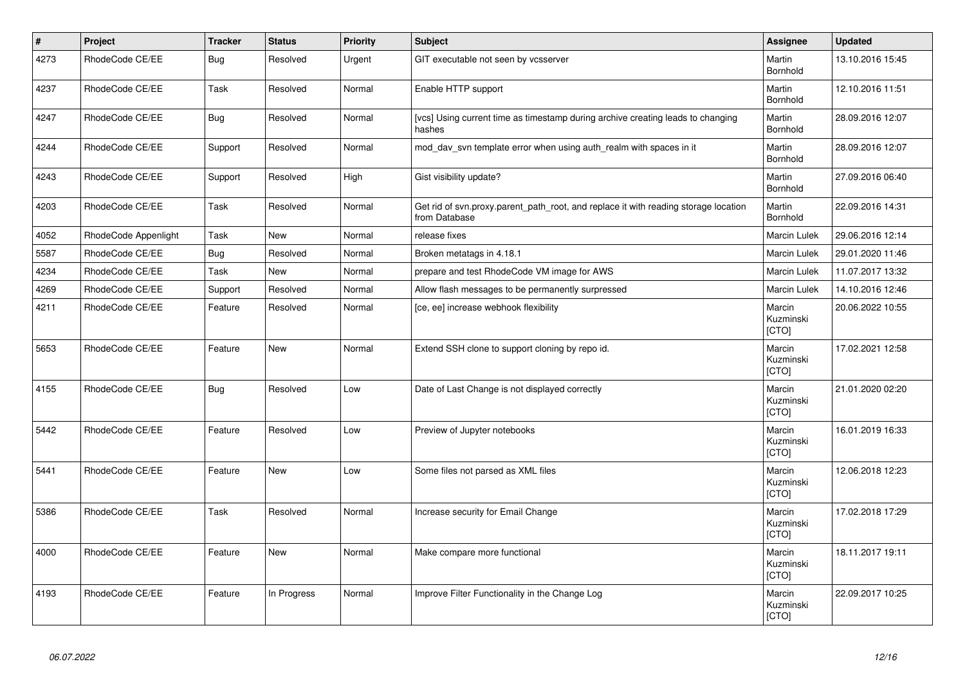| $\vert$ # | Project              | <b>Tracker</b> | <b>Status</b> | <b>Priority</b> | <b>Subject</b>                                                                                       | Assignee                     | <b>Updated</b>   |
|-----------|----------------------|----------------|---------------|-----------------|------------------------------------------------------------------------------------------------------|------------------------------|------------------|
| 4273      | RhodeCode CE/EE      | Bug            | Resolved      | Urgent          | GIT executable not seen by vcsserver                                                                 | Martin<br>Bornhold           | 13.10.2016 15:45 |
| 4237      | RhodeCode CE/EE      | Task           | Resolved      | Normal          | Enable HTTP support                                                                                  | Martin<br>Bornhold           | 12.10.2016 11:51 |
| 4247      | RhodeCode CE/EE      | <b>Bug</b>     | Resolved      | Normal          | [vcs] Using current time as timestamp during archive creating leads to changing<br>hashes            | Martin<br>Bornhold           | 28.09.2016 12:07 |
| 4244      | RhodeCode CE/EE      | Support        | Resolved      | Normal          | mod day syn template error when using auth realm with spaces in it                                   | Martin<br>Bornhold           | 28.09.2016 12:07 |
| 4243      | RhodeCode CE/EE      | Support        | Resolved      | High            | Gist visibility update?                                                                              | Martin<br>Bornhold           | 27.09.2016 06:40 |
| 4203      | RhodeCode CE/EE      | Task           | Resolved      | Normal          | Get rid of svn.proxy.parent_path_root, and replace it with reading storage location<br>from Database | Martin<br>Bornhold           | 22.09.2016 14:31 |
| 4052      | RhodeCode Appenlight | Task           | <b>New</b>    | Normal          | release fixes                                                                                        | Marcin Lulek                 | 29.06.2016 12:14 |
| 5587      | RhodeCode CE/EE      | Bug            | Resolved      | Normal          | Broken metatags in 4.18.1                                                                            | <b>Marcin Lulek</b>          | 29.01.2020 11:46 |
| 4234      | RhodeCode CE/EE      | Task           | New           | Normal          | prepare and test RhodeCode VM image for AWS                                                          | Marcin Lulek                 | 11.07.2017 13:32 |
| 4269      | RhodeCode CE/EE      | Support        | Resolved      | Normal          | Allow flash messages to be permanently surpressed                                                    | <b>Marcin Lulek</b>          | 14.10.2016 12:46 |
| 4211      | RhodeCode CE/EE      | Feature        | Resolved      | Normal          | [ce, ee] increase webhook flexibility                                                                | Marcin<br>Kuzminski<br>[CTO] | 20.06.2022 10:55 |
| 5653      | RhodeCode CE/EE      | Feature        | <b>New</b>    | Normal          | Extend SSH clone to support cloning by repo id.                                                      | Marcin<br>Kuzminski<br>[CTO] | 17.02.2021 12:58 |
| 4155      | RhodeCode CE/EE      | <b>Bug</b>     | Resolved      | Low             | Date of Last Change is not displayed correctly                                                       | Marcin<br>Kuzminski<br>[CTO] | 21.01.2020 02:20 |
| 5442      | RhodeCode CE/EE      | Feature        | Resolved      | Low             | Preview of Jupyter notebooks                                                                         | Marcin<br>Kuzminski<br>[CTO] | 16.01.2019 16:33 |
| 5441      | RhodeCode CE/EE      | Feature        | <b>New</b>    | Low             | Some files not parsed as XML files                                                                   | Marcin<br>Kuzminski<br>[CTO] | 12.06.2018 12:23 |
| 5386      | RhodeCode CE/EE      | Task           | Resolved      | Normal          | Increase security for Email Change                                                                   | Marcin<br>Kuzminski<br>[CTO] | 17.02.2018 17:29 |
| 4000      | RhodeCode CE/EE      | Feature        | <b>New</b>    | Normal          | Make compare more functional                                                                         | Marcin<br>Kuzminski<br>[CTO] | 18.11.2017 19:11 |
| 4193      | RhodeCode CE/EE      | Feature        | In Progress   | Normal          | Improve Filter Functionality in the Change Log                                                       | Marcin<br>Kuzminski<br>[CTO] | 22.09.2017 10:25 |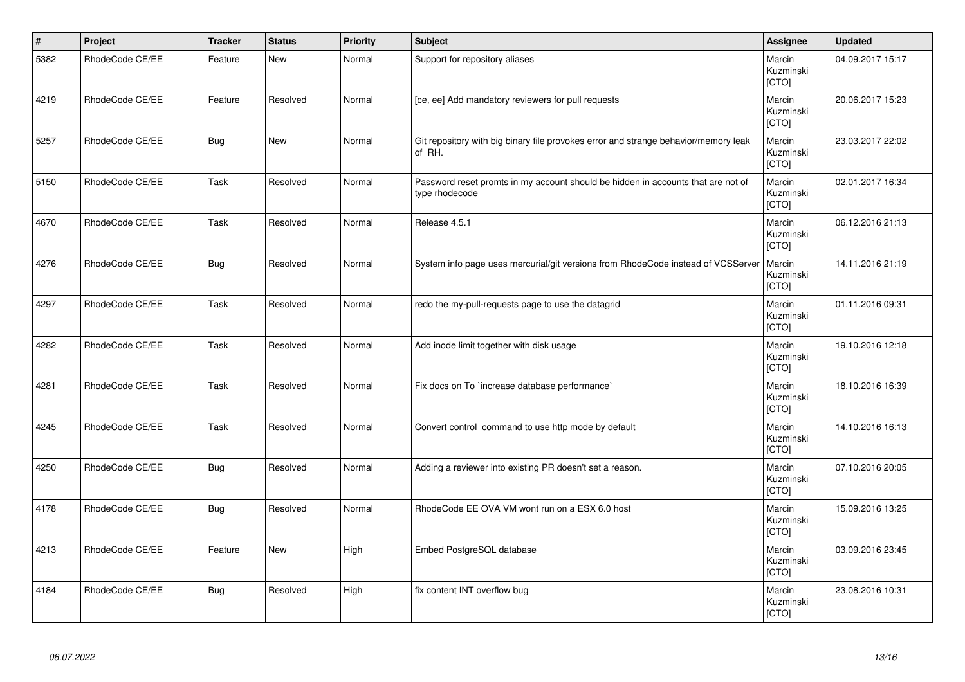| $\vert$ # | Project         | <b>Tracker</b> | <b>Status</b> | <b>Priority</b> | <b>Subject</b>                                                                                     | Assignee                     | <b>Updated</b>   |
|-----------|-----------------|----------------|---------------|-----------------|----------------------------------------------------------------------------------------------------|------------------------------|------------------|
| 5382      | RhodeCode CE/EE | Feature        | <b>New</b>    | Normal          | Support for repository aliases                                                                     | Marcin<br>Kuzminski<br>[CTO] | 04.09.2017 15:17 |
| 4219      | RhodeCode CE/EE | Feature        | Resolved      | Normal          | [ce, ee] Add mandatory reviewers for pull requests                                                 | Marcin<br>Kuzminski<br>[CTO] | 20.06.2017 15:23 |
| 5257      | RhodeCode CE/EE | <b>Bug</b>     | <b>New</b>    | Normal          | Git repository with big binary file provokes error and strange behavior/memory leak<br>of RH.      | Marcin<br>Kuzminski<br>[CTO] | 23.03.2017 22:02 |
| 5150      | RhodeCode CE/EE | Task           | Resolved      | Normal          | Password reset promts in my account should be hidden in accounts that are not of<br>type rhodecode | Marcin<br>Kuzminski<br>[CTO] | 02.01.2017 16:34 |
| 4670      | RhodeCode CE/EE | Task           | Resolved      | Normal          | Release 4.5.1                                                                                      | Marcin<br>Kuzminski<br>[CTO] | 06.12.2016 21:13 |
| 4276      | RhodeCode CE/EE | <b>Bug</b>     | Resolved      | Normal          | System info page uses mercurial/git versions from RhodeCode instead of VCSServer                   | Marcin<br>Kuzminski<br>[CTO] | 14.11.2016 21:19 |
| 4297      | RhodeCode CE/EE | Task           | Resolved      | Normal          | redo the my-pull-requests page to use the datagrid                                                 | Marcin<br>Kuzminski<br>[CTO] | 01.11.2016 09:31 |
| 4282      | RhodeCode CE/EE | Task           | Resolved      | Normal          | Add inode limit together with disk usage                                                           | Marcin<br>Kuzminski<br>[CTO] | 19.10.2016 12:18 |
| 4281      | RhodeCode CE/EE | Task           | Resolved      | Normal          | Fix docs on To `increase database performance`                                                     | Marcin<br>Kuzminski<br>[CTO] | 18.10.2016 16:39 |
| 4245      | RhodeCode CE/EE | Task           | Resolved      | Normal          | Convert control command to use http mode by default                                                | Marcin<br>Kuzminski<br>[CTO] | 14.10.2016 16:13 |
| 4250      | RhodeCode CE/EE | <b>Bug</b>     | Resolved      | Normal          | Adding a reviewer into existing PR doesn't set a reason.                                           | Marcin<br>Kuzminski<br>[CTO] | 07.10.2016 20:05 |
| 4178      | RhodeCode CE/EE | <b>Bug</b>     | Resolved      | Normal          | RhodeCode EE OVA VM wont run on a ESX 6.0 host                                                     | Marcin<br>Kuzminski<br>[CTO] | 15.09.2016 13:25 |
| 4213      | RhodeCode CE/EE | Feature        | <b>New</b>    | High            | Embed PostgreSQL database                                                                          | Marcin<br>Kuzminski<br>[CTO] | 03.09.2016 23:45 |
| 4184      | RhodeCode CE/EE | <b>Bug</b>     | Resolved      | High            | fix content INT overflow bug                                                                       | Marcin<br>Kuzminski<br>[CTO] | 23.08.2016 10:31 |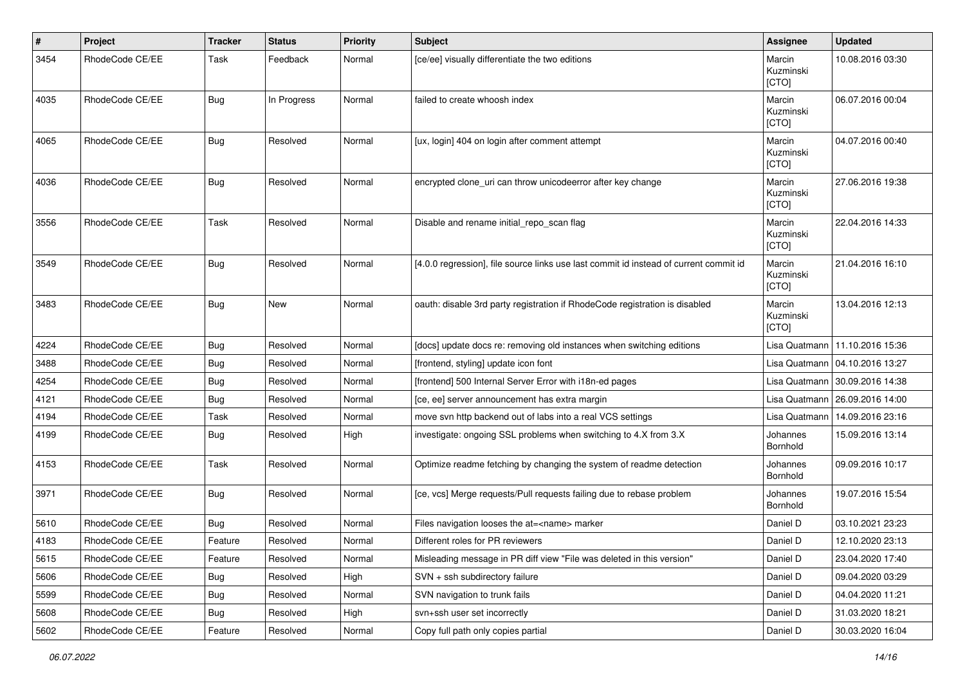| #    | Project         | <b>Tracker</b> | <b>Status</b> | <b>Priority</b> | <b>Subject</b>                                                                        | <b>Assignee</b>              | <b>Updated</b>                   |
|------|-----------------|----------------|---------------|-----------------|---------------------------------------------------------------------------------------|------------------------------|----------------------------------|
| 3454 | RhodeCode CE/EE | Task           | Feedback      | Normal          | [ce/ee] visually differentiate the two editions                                       | Marcin<br>Kuzminski<br>[CTO] | 10.08.2016 03:30                 |
| 4035 | RhodeCode CE/EE | Bug            | In Progress   | Normal          | failed to create whoosh index                                                         | Marcin<br>Kuzminski<br>[CTO] | 06.07.2016 00:04                 |
| 4065 | RhodeCode CE/EE | Bug            | Resolved      | Normal          | [ux, login] 404 on login after comment attempt                                        | Marcin<br>Kuzminski<br>[CTO] | 04.07.2016 00:40                 |
| 4036 | RhodeCode CE/EE | Bug            | Resolved      | Normal          | encrypted clone_uri can throw unicodeerror after key change                           | Marcin<br>Kuzminski<br>[CTO] | 27.06.2016 19:38                 |
| 3556 | RhodeCode CE/EE | Task           | Resolved      | Normal          | Disable and rename initial_repo_scan flag                                             | Marcin<br>Kuzminski<br>[CTO] | 22.04.2016 14:33                 |
| 3549 | RhodeCode CE/EE | Bug            | Resolved      | Normal          | [4.0.0 regression], file source links use last commit id instead of current commit id | Marcin<br>Kuzminski<br>[CTO] | 21.04.2016 16:10                 |
| 3483 | RhodeCode CE/EE | Bug            | New           | Normal          | oauth: disable 3rd party registration if RhodeCode registration is disabled           | Marcin<br>Kuzminski<br>[CTO] | 13.04.2016 12:13                 |
| 4224 | RhodeCode CE/EE | Bug            | Resolved      | Normal          | [docs] update docs re: removing old instances when switching editions                 | Lisa Quatmann                | 11.10.2016 15:36                 |
| 3488 | RhodeCode CE/EE | Bug            | Resolved      | Normal          | [frontend, styling] update icon font                                                  |                              | Lisa Quatmann   04.10.2016 13:27 |
| 4254 | RhodeCode CE/EE | Bug            | Resolved      | Normal          | [frontend] 500 Internal Server Error with i18n-ed pages                               |                              | Lisa Quatmann   30.09.2016 14:38 |
| 4121 | RhodeCode CE/EE | Bug            | Resolved      | Normal          | [ce, ee] server announcement has extra margin                                         | Lisa Quatmann                | 26.09.2016 14:00                 |
| 4194 | RhodeCode CE/EE | Task           | Resolved      | Normal          | move svn http backend out of labs into a real VCS settings                            | Lisa Quatmann                | 14.09.2016 23:16                 |
| 4199 | RhodeCode CE/EE | Bug            | Resolved      | High            | investigate: ongoing SSL problems when switching to 4.X from 3.X                      | Johannes<br>Bornhold         | 15.09.2016 13:14                 |
| 4153 | RhodeCode CE/EE | Task           | Resolved      | Normal          | Optimize readme fetching by changing the system of readme detection                   | Johannes<br>Bornhold         | 09.09.2016 10:17                 |
| 3971 | RhodeCode CE/EE | Bug            | Resolved      | Normal          | [ce, vcs] Merge requests/Pull requests failing due to rebase problem                  | Johannes<br>Bornhold         | 19.07.2016 15:54                 |
| 5610 | RhodeCode CE/EE | Bug            | Resolved      | Normal          | Files navigation looses the at= <name> marker</name>                                  | Daniel D                     | 03.10.2021 23:23                 |
| 4183 | RhodeCode CE/EE | Feature        | Resolved      | Normal          | Different roles for PR reviewers                                                      | Daniel D                     | 12.10.2020 23:13                 |
| 5615 | RhodeCode CE/EE | Feature        | Resolved      | Normal          | Misleading message in PR diff view "File was deleted in this version"                 | Daniel D                     | 23.04.2020 17:40                 |
| 5606 | RhodeCode CE/EE | <b>Bug</b>     | Resolved      | High            | SVN + ssh subdirectory failure                                                        | Daniel D                     | 09.04.2020 03:29                 |
| 5599 | RhodeCode CE/EE | <b>Bug</b>     | Resolved      | Normal          | SVN navigation to trunk fails                                                         | Daniel D                     | 04.04.2020 11:21                 |
| 5608 | RhodeCode CE/EE | <b>Bug</b>     | Resolved      | High            | svn+ssh user set incorrectly                                                          | Daniel D                     | 31.03.2020 18:21                 |
| 5602 | RhodeCode CE/EE | Feature        | Resolved      | Normal          | Copy full path only copies partial                                                    | Daniel D                     | 30.03.2020 16:04                 |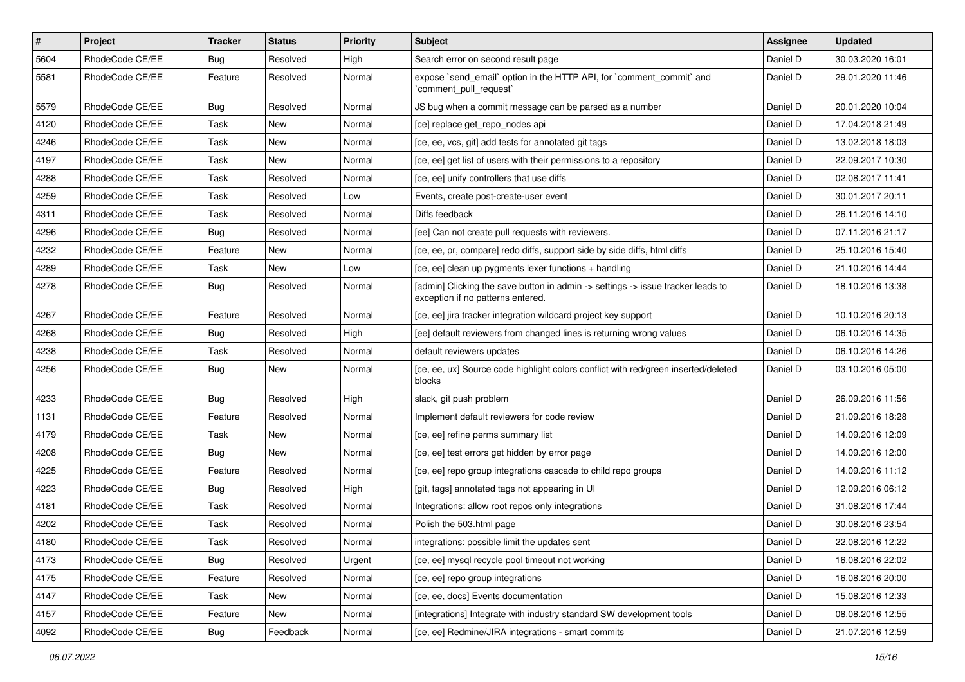| $\pmb{\#}$ | Project         | Tracker    | <b>Status</b> | <b>Priority</b> | Subject                                                                                                              | <b>Assignee</b> | <b>Updated</b>   |
|------------|-----------------|------------|---------------|-----------------|----------------------------------------------------------------------------------------------------------------------|-----------------|------------------|
| 5604       | RhodeCode CE/EE | <b>Bug</b> | Resolved      | High            | Search error on second result page                                                                                   | Daniel D        | 30.03.2020 16:01 |
| 5581       | RhodeCode CE/EE | Feature    | Resolved      | Normal          | expose `send_email` option in the HTTP API, for `comment_commit` and<br>`comment pull request`                       | Daniel D        | 29.01.2020 11:46 |
| 5579       | RhodeCode CE/EE | Bug        | Resolved      | Normal          | JS bug when a commit message can be parsed as a number                                                               | Daniel D        | 20.01.2020 10:04 |
| 4120       | RhodeCode CE/EE | Task       | New           | Normal          | [ce] replace get_repo_nodes api                                                                                      | Daniel D        | 17.04.2018 21:49 |
| 4246       | RhodeCode CE/EE | Task       | New           | Normal          | [ce, ee, vcs, git] add tests for annotated git tags                                                                  | Daniel D        | 13.02.2018 18:03 |
| 4197       | RhodeCode CE/EE | Task       | New           | Normal          | [ce, ee] get list of users with their permissions to a repository                                                    | Daniel D        | 22.09.2017 10:30 |
| 4288       | RhodeCode CE/EE | Task       | Resolved      | Normal          | [ce, ee] unify controllers that use diffs                                                                            | Daniel D        | 02.08.2017 11:41 |
| 4259       | RhodeCode CE/EE | Task       | Resolved      | Low             | Events, create post-create-user event                                                                                | Daniel D        | 30.01.2017 20:11 |
| 4311       | RhodeCode CE/EE | Task       | Resolved      | Normal          | Diffs feedback                                                                                                       | Daniel D        | 26.11.2016 14:10 |
| 4296       | RhodeCode CE/EE | Bug        | Resolved      | Normal          | [ee] Can not create pull requests with reviewers.                                                                    | Daniel D        | 07.11.2016 21:17 |
| 4232       | RhodeCode CE/EE | Feature    | New           | Normal          | [ce, ee, pr, compare] redo diffs, support side by side diffs, html diffs                                             | Daniel D        | 25.10.2016 15:40 |
| 4289       | RhodeCode CE/EE | Task       | New           | Low             | [ce, ee] clean up pygments lexer functions + handling                                                                | Daniel D        | 21.10.2016 14:44 |
| 4278       | RhodeCode CE/EE | Bug        | Resolved      | Normal          | [admin] Clicking the save button in admin -> settings -> issue tracker leads to<br>exception if no patterns entered. | Daniel D        | 18.10.2016 13:38 |
| 4267       | RhodeCode CE/EE | Feature    | Resolved      | Normal          | [ce, ee] jira tracker integration wildcard project key support                                                       | Daniel D        | 10.10.2016 20:13 |
| 4268       | RhodeCode CE/EE | <b>Bug</b> | Resolved      | High            | [ee] default reviewers from changed lines is returning wrong values                                                  | Daniel D        | 06.10.2016 14:35 |
| 4238       | RhodeCode CE/EE | Task       | Resolved      | Normal          | default reviewers updates                                                                                            | Daniel D        | 06.10.2016 14:26 |
| 4256       | RhodeCode CE/EE | Bug        | New           | Normal          | [ce, ee, ux] Source code highlight colors conflict with red/green inserted/deleted<br>blocks                         | Daniel D        | 03.10.2016 05:00 |
| 4233       | RhodeCode CE/EE | <b>Bug</b> | Resolved      | High            | slack, git push problem                                                                                              | Daniel D        | 26.09.2016 11:56 |
| 1131       | RhodeCode CE/EE | Feature    | Resolved      | Normal          | Implement default reviewers for code review                                                                          | Daniel D        | 21.09.2016 18:28 |
| 4179       | RhodeCode CE/EE | Task       | New           | Normal          | [ce, ee] refine perms summary list                                                                                   | Daniel D        | 14.09.2016 12:09 |
| 4208       | RhodeCode CE/EE | Bug        | New           | Normal          | [ce, ee] test errors get hidden by error page                                                                        | Daniel D        | 14.09.2016 12:00 |
| 4225       | RhodeCode CE/EE | Feature    | Resolved      | Normal          | [ce, ee] repo group integrations cascade to child repo groups                                                        | Daniel D        | 14.09.2016 11:12 |
| 4223       | RhodeCode CE/EE | <b>Bug</b> | Resolved      | High            | [git, tags] annotated tags not appearing in UI                                                                       | Daniel D        | 12.09.2016 06:12 |
| 4181       | RhodeCode CE/EE | Task       | Resolved      | Normal          | Integrations: allow root repos only integrations                                                                     | Daniel D        | 31.08.2016 17:44 |
| 4202       | RhodeCode CE/EE | Task       | Resolved      | Normal          | Polish the 503.html page                                                                                             | Daniel D        | 30.08.2016 23:54 |
| 4180       | RhodeCode CE/EE | Task       | Resolved      | Normal          | integrations: possible limit the updates sent                                                                        | Daniel D        | 22.08.2016 12:22 |
| 4173       | RhodeCode CE/EE | Bug        | Resolved      | Urgent          | [ce, ee] mysql recycle pool timeout not working                                                                      | Daniel D        | 16.08.2016 22:02 |
| 4175       | RhodeCode CE/EE | Feature    | Resolved      | Normal          | [ce, ee] repo group integrations                                                                                     | Daniel D        | 16.08.2016 20:00 |
| 4147       | RhodeCode CE/EE | Task       | New           | Normal          | [ce, ee, docs] Events documentation                                                                                  | Daniel D        | 15.08.2016 12:33 |
| 4157       | RhodeCode CE/EE | Feature    | New           | Normal          | [integrations] Integrate with industry standard SW development tools                                                 | Daniel D        | 08.08.2016 12:55 |
| 4092       | RhodeCode CE/EE | <b>Bug</b> | Feedback      | Normal          | [ce, ee] Redmine/JIRA integrations - smart commits                                                                   | Daniel D        | 21.07.2016 12:59 |